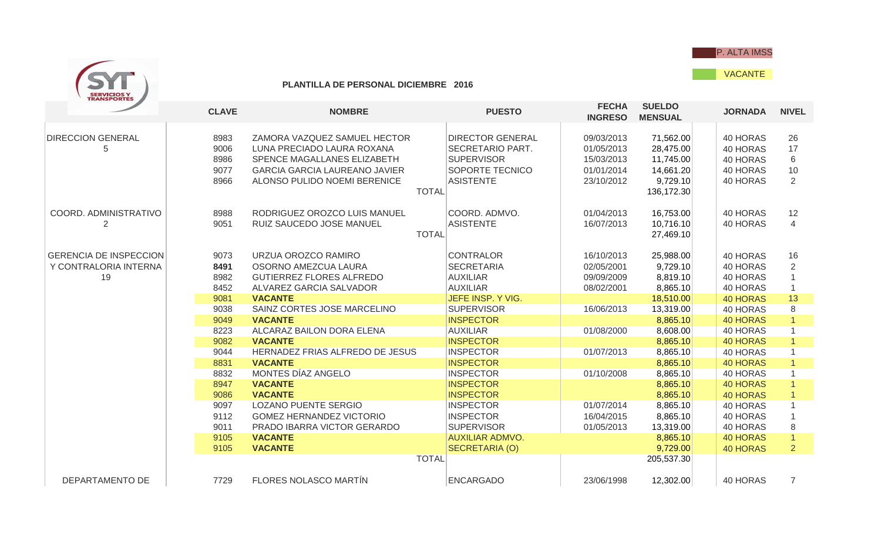

VACANTE



## **PLANTILLA DE PERSONAL DICIEMBRE 2016**

|                                                              | <b>CLAVE</b>                         | <b>NOMBRE</b>                                                                                                                                                     | <b>PUESTO</b>                                                                                                                         | <b>FECHA</b><br><b>INGRESO</b>                                     | <b>SUELDO</b><br><b>MENSUAL</b>                                            | <b>JORNADA</b>                                           | <b>NIVEL</b>             |
|--------------------------------------------------------------|--------------------------------------|-------------------------------------------------------------------------------------------------------------------------------------------------------------------|---------------------------------------------------------------------------------------------------------------------------------------|--------------------------------------------------------------------|----------------------------------------------------------------------------|----------------------------------------------------------|--------------------------|
| <b>DIRECCION GENERAL</b><br>5                                | 8983<br>9006<br>8986<br>9077<br>8966 | ZAMORA VAZQUEZ SAMUEL HECTOR<br>LUNA PRECIADO LAURA ROXANA<br>SPENCE MAGALLANES ELIZABETH<br><b>GARCIA GARCIA LAUREANO JAVIER</b><br>ALONSO PULIDO NOEMI BERENICE | <b>DIRECTOR GENERAL</b><br><b>SECRETARIO PART.</b><br><b>SUPERVISOR</b><br><b>SOPORTE TECNICO</b><br><b>ASISTENTE</b><br><b>TOTAL</b> | 09/03/2013<br>01/05/2013<br>15/03/2013<br>01/01/2014<br>23/10/2012 | 71,562.00<br>28,475.00<br>11,745.00<br>14,661.20<br>9,729.10<br>136,172.30 | 40 HORAS<br>40 HORAS<br>40 HORAS<br>40 HORAS<br>40 HORAS | 26<br>17<br>6<br>10<br>2 |
| COORD. ADMINISTRATIVO                                        | 8988<br>9051                         | RODRIGUEZ OROZCO LUIS MANUEL<br>RUIZ SAUCEDO JOSE MANUEL<br><b>TOTAL</b>                                                                                          | COORD. ADMVO.<br><b>ASISTENTE</b>                                                                                                     | 01/04/2013<br>16/07/2013                                           | 16,753.00<br>10,716.10<br>27,469.10                                        | 40 HORAS<br>40 HORAS                                     | 12<br>$\overline{4}$     |
| <b>GERENCIA DE INSPECCION</b><br>Y CONTRALORIA INTERNA<br>19 | 9073<br>8491<br>8982<br>8452         | URZUA OROZCO RAMIRO<br>OSORNO AMEZCUA LAURA<br><b>GUTIERREZ FLORES ALFREDO</b><br>ALVAREZ GARCIA SALVADOR                                                         | <b>CONTRALOR</b><br><b>SECRETARIA</b><br><b>AUXILIAR</b><br><b>AUXILIAR</b>                                                           | 16/10/2013<br>02/05/2001<br>09/09/2009<br>08/02/2001               | 25,988.00<br>9,729.10<br>8,819.10<br>8,865.10                              | 40 HORAS<br>40 HORAS<br>40 HORAS<br>40 HORAS             | 16<br>2                  |
|                                                              | 9081<br>9038<br>9049                 | <b>VACANTE</b><br>SAINZ CORTES JOSE MARCELINO<br><b>VACANTE</b>                                                                                                   | JEFE INSP. Y VIG.<br><b>SUPERVISOR</b><br><b>INSPECTOR</b>                                                                            | 16/06/2013                                                         | 18,510.00<br>13,319.00<br>8,865.10                                         | <b>40 HORAS</b><br>40 HORAS<br><b>40 HORAS</b>           | 13<br>8                  |
|                                                              | 8223<br>9082                         | ALCARAZ BAILON DORA ELENA<br><b>VACANTE</b>                                                                                                                       | <b>AUXILIAR</b><br><b>INSPECTOR</b>                                                                                                   | 01/08/2000                                                         | 8,608.00<br>8,865.10                                                       | 40 HORAS<br><b>40 HORAS</b>                              |                          |
|                                                              | 9044<br>8831<br>8832                 | HERNADEZ FRIAS ALFREDO DE JESUS<br><b>VACANTE</b><br>MONTES DÍAZ ANGELO                                                                                           | <b>INSPECTOR</b><br><b>INSPECTOR</b><br><b>INSPECTOR</b>                                                                              | 01/07/2013<br>01/10/2008                                           | 8,865.10<br>8,865.10<br>8,865.10                                           | 40 HORAS<br><b>40 HORAS</b><br>40 HORAS                  |                          |
|                                                              | 8947<br>9086                         | <b>VACANTE</b><br><b>VACANTE</b>                                                                                                                                  | <b>INSPECTOR</b><br><b>INSPECTOR</b>                                                                                                  |                                                                    | 8,865.10<br>8,865.10                                                       | <b>40 HORAS</b><br><b>40 HORAS</b>                       |                          |
|                                                              | 9097<br>9112<br>9011                 | <b>LOZANO PUENTE SERGIO</b><br><b>GOMEZ HERNANDEZ VICTORIO</b><br>PRADO IBARRA VICTOR GERARDO                                                                     | <b>INSPECTOR</b><br><b>INSPECTOR</b><br><b>SUPERVISOR</b>                                                                             | 01/07/2014<br>16/04/2015<br>01/05/2013                             | 8,865.10<br>8,865.10<br>13,319.00                                          | 40 HORAS<br>40 HORAS<br>40 HORAS                         | 8                        |
|                                                              | 9105<br>9105                         | <b>VACANTE</b><br><b>VACANTE</b>                                                                                                                                  | <b>AUXILIAR ADMVO.</b><br><b>SECRETARIA (O)</b>                                                                                       |                                                                    | 8,865.10<br>9,729.00                                                       | <b>40 HORAS</b><br><b>40 HORAS</b>                       | $\overline{2}$           |
| DEPARTAMENTO DE                                              | 7729                                 | FLORES NOLASCO MARTÍN                                                                                                                                             | <b>TOTAL</b><br><b>ENCARGADO</b>                                                                                                      | 23/06/1998                                                         | 205,537.30<br>12,302.00                                                    | 40 HORAS                                                 | $\overline{7}$           |
|                                                              |                                      |                                                                                                                                                                   |                                                                                                                                       |                                                                    |                                                                            |                                                          |                          |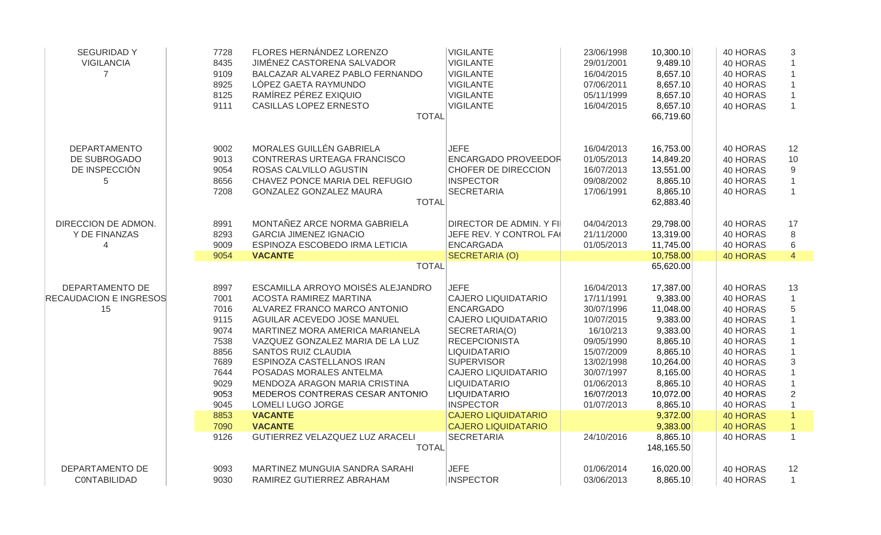| <b>SEGURIDADY</b><br><b>VIGILANCIA</b><br>$\overline{7}$  | 7728<br>8435<br>9109<br>8925<br>8125<br>9111                                                                 | FLORES HERNÁNDEZ LORENZO<br>JIMÉNEZ CASTORENA SALVADOR<br>BALCAZAR ALVAREZ PABLO FERNANDO<br>LÓPEZ GAETA RAYMUNDO<br>RAMÍREZ PÉREZ EXIQUIO<br>CASILLAS LOPEZ ERNESTO<br><b>TOTAL</b>                                                                                                                                                                                                                                        | <b>VIGILANTE</b><br><b>VIGILANTE</b><br><b>VIGILANTE</b><br><b>VIGILANTE</b><br><b>VIGILANTE</b><br><b>VIGILANTE</b>                                                                                                                                                                                                                         | 23/06/1998<br>29/01/2001<br>16/04/2015<br>07/06/2011<br>05/11/1999<br>16/04/2015                                                                                    | 10,300.10<br>9,489.10<br>8,657.10<br>8,657.10<br>8,657.10<br>8,657.10<br>66,719.60                                                                                       | 40 HORAS<br>40 HORAS<br>40 HORAS<br>40 HORAS<br>40 HORAS<br>40 HORAS                                                                                                               | 3<br>$\mathbf{1}$                                                              |
|-----------------------------------------------------------|--------------------------------------------------------------------------------------------------------------|-----------------------------------------------------------------------------------------------------------------------------------------------------------------------------------------------------------------------------------------------------------------------------------------------------------------------------------------------------------------------------------------------------------------------------|----------------------------------------------------------------------------------------------------------------------------------------------------------------------------------------------------------------------------------------------------------------------------------------------------------------------------------------------|---------------------------------------------------------------------------------------------------------------------------------------------------------------------|--------------------------------------------------------------------------------------------------------------------------------------------------------------------------|------------------------------------------------------------------------------------------------------------------------------------------------------------------------------------|--------------------------------------------------------------------------------|
| <b>DEPARTAMENTO</b><br>DE SUBROGADO<br>DE INSPECCIÓN<br>5 | 9002<br>9013<br>9054<br>8656<br>7208                                                                         | MORALES GUILLÉN GABRIELA<br>CONTRERAS URTEAGA FRANCISCO<br>ROSAS CALVILLO AGUSTIN<br>CHAVEZ PONCE MARIA DEL REFUGIO<br>GONZALEZ GONZALEZ MAURA<br><b>TOTAL</b>                                                                                                                                                                                                                                                              | <b>JEFE</b><br><b>ENCARGADO PROVEEDOR</b><br>CHOFER DE DIRECCION<br><b>INSPECTOR</b><br><b>SECRETARIA</b>                                                                                                                                                                                                                                    | 16/04/2013<br>01/05/2013<br>16/07/2013<br>09/08/2002<br>17/06/1991                                                                                                  | 16,753.00<br>14,849.20<br>13,551.00<br>8,865.10<br>8,865.10<br>62,883.40                                                                                                 | 40 HORAS<br>40 HORAS<br>40 HORAS<br>40 HORAS<br>40 HORAS                                                                                                                           | 12<br>10<br>9<br>$\mathbf{1}$<br>$\mathbf{1}$                                  |
| DIRECCION DE ADMON.<br>Y DE FINANZAS<br>4                 | 8991<br>8293<br>9009<br>9054                                                                                 | MONTAÑEZ ARCE NORMA GABRIELA<br><b>GARCIA JIMENEZ IGNACIO</b><br>ESPINOZA ESCOBEDO IRMA LETICIA<br><b>VACANTE</b><br><b>TOTAL</b>                                                                                                                                                                                                                                                                                           | <b>DIRECTOR DE ADMIN. Y FI</b><br>JEFE REV. Y CONTROL FA<br><b>ENCARGADA</b><br>SECRETARIA (O)                                                                                                                                                                                                                                               | 04/04/2013<br>21/11/2000<br>01/05/2013                                                                                                                              | 29,798.00<br>13,319.00<br>11,745.00<br>10,758.00<br>65,620.00                                                                                                            | 40 HORAS<br>40 HORAS<br>40 HORAS<br><b>40 HORAS</b>                                                                                                                                | 17<br>$\,8\,$<br>6<br>$\overline{4}$                                           |
| DEPARTAMENTO DE<br><b>RECAUDACION E INGRESOS</b><br>15    | 8997<br>7001<br>7016<br>9115<br>9074<br>7538<br>8856<br>7689<br>7644<br>9029<br>9053<br>9045<br>8853<br>7090 | ESCAMILLA ARROYO MOISÉS ALEJANDRO<br><b>ACOSTA RAMIREZ MARTINA</b><br>ALVAREZ FRANCO MARCO ANTONIO<br>AGUILAR ACEVEDO JOSE MANUEL<br>MARTINEZ MORA AMERICA MARIANELA<br>VAZQUEZ GONZALEZ MARIA DE LA LUZ<br><b>SANTOS RUIZ CLAUDIA</b><br>ESPINOZA CASTELLANOS IRAN<br>POSADAS MORALES ANTELMA<br>MENDOZA ARAGON MARIA CRISTINA<br>MEDEROS CONTRERAS CESAR ANTONIO<br>LOMELI LUGO JORGE<br><b>VACANTE</b><br><b>VACANTE</b> | <b>JEFE</b><br><b>CAJERO LIQUIDATARIO</b><br><b>ENCARGADO</b><br><b>CAJERO LIQUIDATARIO</b><br>SECRETARIA(O)<br><b>RECEPCIONISTA</b><br><b>LIQUIDATARIO</b><br><b>SUPERVISOR</b><br><b>CAJERO LIQUIDATARIO</b><br><b>LIQUIDATARIO</b><br><b>LIQUIDATARIO</b><br><b>INSPECTOR</b><br><b>CAJERO LIQUIDATARIO</b><br><b>CAJERO LIQUIDATARIO</b> | 16/04/2013<br>17/11/1991<br>30/07/1996<br>10/07/2015<br>16/10/213<br>09/05/1990<br>15/07/2009<br>13/02/1998<br>30/07/1997<br>01/06/2013<br>16/07/2013<br>01/07/2013 | 17,387.00<br>9,383.00<br>11,048.00<br>9,383.00<br>9,383.00<br>8,865.10<br>8,865.10<br>10,264.00<br>8,165.00<br>8,865.10<br>10,072.00<br>8,865.10<br>9,372.00<br>9,383.00 | 40 HORAS<br>40 HORAS<br>40 HORAS<br>40 HORAS<br>40 HORAS<br>40 HORAS<br>40 HORAS<br>40 HORAS<br>40 HORAS<br>40 HORAS<br>40 HORAS<br>40 HORAS<br><b>40 HORAS</b><br><b>40 HORAS</b> | 13<br>$\mathbf{1}$<br>5<br>3<br>$\overline{2}$<br>$\mathbf{1}$<br>$\mathbf{1}$ |
| DEPARTAMENTO DE                                           | 9126<br>9093                                                                                                 | GUTIERREZ VELAZQUEZ LUZ ARACELI<br><b>TOTAL</b><br>MARTINEZ MUNGUIA SANDRA SARAHI                                                                                                                                                                                                                                                                                                                                           | <b>SECRETARIA</b><br><b>JEFE</b>                                                                                                                                                                                                                                                                                                             | 24/10/2016<br>01/06/2014                                                                                                                                            | 8,865.10<br>148,165.50<br>16,020.00                                                                                                                                      | 40 HORAS<br>40 HORAS                                                                                                                                                               | $\mathbf{1}$<br>12                                                             |
| CONTABILIDAD                                              | 9030                                                                                                         | RAMIREZ GUTIERREZ ABRAHAM                                                                                                                                                                                                                                                                                                                                                                                                   | <b>INSPECTOR</b>                                                                                                                                                                                                                                                                                                                             | 03/06/2013                                                                                                                                                          | 8,865.10                                                                                                                                                                 | 40 HORAS                                                                                                                                                                           | $\mathbf{1}$                                                                   |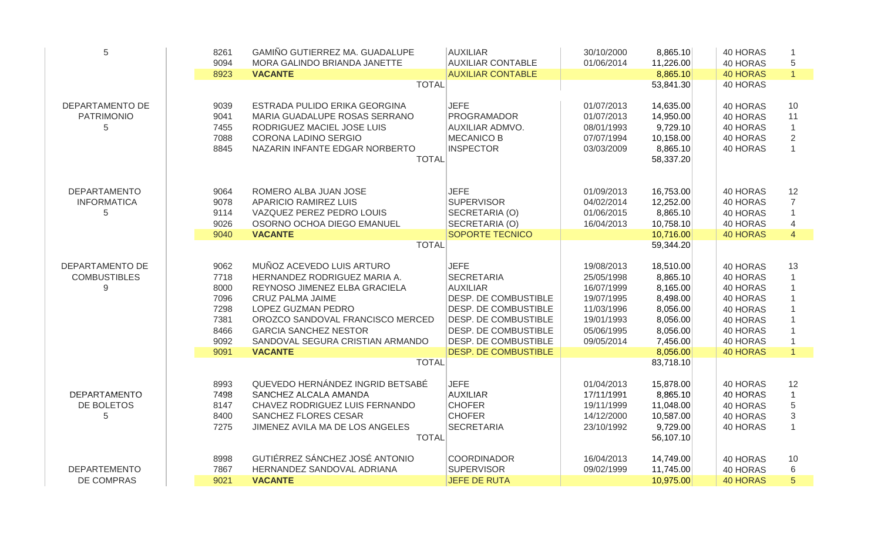| 5                   | 8261 | <b>GAMIÑO GUTIERREZ MA. GUADALUPE</b> | <b>AUXILIAR</b>             | 30/10/2000 | 8,865.10  | 40 HORAS        | $\mathbf{1}$   |
|---------------------|------|---------------------------------------|-----------------------------|------------|-----------|-----------------|----------------|
|                     | 9094 | MORA GALINDO BRIANDA JANETTE          | <b>AUXILIAR CONTABLE</b>    | 01/06/2014 | 11,226.00 | 40 HORAS        | 5              |
|                     | 8923 | <b>VACANTE</b>                        | <b>AUXILIAR CONTABLE</b>    |            | 8,865.10  | <b>40 HORAS</b> | $\mathbf{1}$   |
|                     |      | <b>TOTAL</b>                          |                             |            | 53,841.30 | 40 HORAS        |                |
| DEPARTAMENTO DE     | 9039 | ESTRADA PULIDO ERIKA GEORGINA         | <b>JEFE</b>                 | 01/07/2013 | 14,635.00 | 40 HORAS        | 10             |
| <b>PATRIMONIO</b>   | 9041 | MARIA GUADALUPE ROSAS SERRANO         | <b>PROGRAMADOR</b>          | 01/07/2013 | 14,950.00 | 40 HORAS        | 11             |
| 5                   | 7455 | RODRIGUEZ MACIEL JOSE LUIS            | <b>AUXILIAR ADMVO.</b>      | 08/01/1993 | 9,729.10  | 40 HORAS        | $\overline{1}$ |
|                     | 7088 | CORONA LADINO SERGIO                  | <b>MECANICO B</b>           | 07/07/1994 | 10,158.00 | 40 HORAS        | $\overline{2}$ |
|                     | 8845 | NAZARIN INFANTE EDGAR NORBERTO        | <b>INSPECTOR</b>            | 03/03/2009 | 8,865.10  | 40 HORAS        | $\mathbf{1}$   |
|                     |      | <b>TOTAL</b>                          |                             |            | 58,337.20 |                 |                |
| <b>DEPARTAMENTO</b> | 9064 | ROMERO ALBA JUAN JOSE                 | <b>JEFE</b>                 | 01/09/2013 | 16,753.00 | 40 HORAS        | 12             |
| <b>INFORMATICA</b>  | 9078 | APARICIO RAMIREZ LUIS                 | <b>SUPERVISOR</b>           | 04/02/2014 | 12,252.00 | 40 HORAS        | $\overline{7}$ |
| 5                   | 9114 | VAZQUEZ PEREZ PEDRO LOUIS             | SECRETARIA (O)              | 01/06/2015 | 8,865.10  | 40 HORAS        |                |
|                     | 9026 | OSORNO OCHOA DIEGO EMANUEL            | SECRETARIA (O)              | 16/04/2013 | 10,758.10 | 40 HORAS        | $\overline{4}$ |
|                     | 9040 | <b>VACANTE</b>                        | SOPORTE TECNICO             |            | 10,716.00 | <b>40 HORAS</b> | $\overline{4}$ |
|                     |      | <b>TOTAL</b>                          |                             |            | 59,344.20 |                 |                |
| DEPARTAMENTO DE     | 9062 | MUÑOZ ACEVEDO LUIS ARTURO             | <b>JEFE</b>                 | 19/08/2013 | 18,510.00 | 40 HORAS        | 13             |
| <b>COMBUSTIBLES</b> | 7718 | HERNANDEZ RODRIGUEZ MARIA A.          | <b>SECRETARIA</b>           | 25/05/1998 | 8,865.10  | 40 HORAS        | $\mathbf{1}$   |
| 9                   | 8000 | REYNOSO JIMENEZ ELBA GRACIELA         | <b>AUXILIAR</b>             | 16/07/1999 | 8,165.00  | 40 HORAS        |                |
|                     | 7096 | <b>CRUZ PALMA JAIME</b>               | DESP. DE COMBUSTIBLE        | 19/07/1995 | 8,498.00  | 40 HORAS        |                |
|                     | 7298 | LOPEZ GUZMAN PEDRO                    | DESP. DE COMBUSTIBLE        | 11/03/1996 | 8,056.00  | 40 HORAS        |                |
|                     | 7381 | OROZCO SANDOVAL FRANCISCO MERCED      | DESP. DE COMBUSTIBLE        | 19/01/1993 | 8,056.00  | 40 HORAS        |                |
|                     | 8466 | <b>GARCIA SANCHEZ NESTOR</b>          | DESP. DE COMBUSTIBLE        | 05/06/1995 | 8,056.00  | 40 HORAS        |                |
|                     | 9092 | SANDOVAL SEGURA CRISTIAN ARMANDO      | DESP. DE COMBUSTIBLE        | 09/05/2014 | 7,456.00  | 40 HORAS        | $\mathbf{1}$   |
|                     | 9091 | <b>VACANTE</b>                        | <b>DESP. DE COMBUSTIBLE</b> |            | 8,056.00  | <b>40 HORAS</b> | $\mathbf{1}$   |
|                     |      | <b>TOTAL</b>                          |                             |            | 83,718.10 |                 |                |
|                     | 8993 | QUEVEDO HERNÁNDEZ INGRID BETSABÉ      | <b>JEFE</b>                 | 01/04/2013 | 15,878.00 | 40 HORAS        | 12             |
| <b>DEPARTAMENTO</b> | 7498 | SANCHEZ ALCALA AMANDA                 | <b>AUXILIAR</b>             | 17/11/1991 | 8,865.10  | 40 HORAS        | $\mathbf{1}$   |
| DE BOLETOS          | 8147 | CHAVEZ RODRIGUEZ LUIS FERNANDO        | <b>CHOFER</b>               | 19/11/1999 | 11,048.00 | 40 HORAS        | 5              |
| 5                   | 8400 | SANCHEZ FLORES CESAR                  | <b>CHOFER</b>               | 14/12/2000 | 10,587.00 | 40 HORAS        | 3              |
|                     | 7275 | JIMENEZ AVILA MA DE LOS ANGELES       | <b>SECRETARIA</b>           | 23/10/1992 | 9,729.00  | 40 HORAS        | $\mathbf{1}$   |
|                     |      | <b>TOTAL</b>                          |                             |            | 56,107.10 |                 |                |
|                     | 8998 | GUTIÉRREZ SÁNCHEZ JOSÉ ANTONIO        | <b>COORDINADOR</b>          | 16/04/2013 | 14,749.00 | 40 HORAS        | 10             |
| <b>DEPARTEMENTO</b> | 7867 | HERNANDEZ SANDOVAL ADRIANA            | <b>SUPERVISOR</b>           | 09/02/1999 | 11,745.00 | 40 HORAS        | 6              |
| DE COMPRAS          | 9021 | <b>VACANTE</b>                        | <b>JEFE DE RUTA</b>         |            | 10,975.00 | <b>40 HORAS</b> | 5              |
|                     |      |                                       |                             |            |           |                 |                |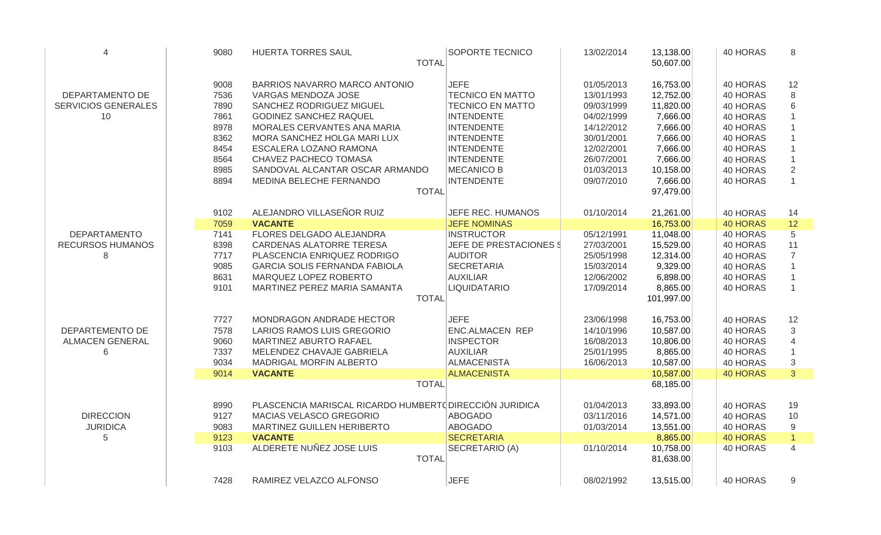| $\overline{4}$             | 9080 | HUERTA TORRES SAUL                                      | <b>SOPORTE TECNICO</b><br><b>TOTAL</b> | 13/02/2014 | 13,138.00<br>50,607.00 | 40 HORAS        | 8                        |
|----------------------------|------|---------------------------------------------------------|----------------------------------------|------------|------------------------|-----------------|--------------------------|
|                            | 9008 | BARRIOS NAVARRO MARCO ANTONIO                           | <b>JEFE</b>                            | 01/05/2013 | 16,753.00              | 40 HORAS        | 12                       |
| DEPARTAMENTO DE            | 7536 | VARGAS MENDOZA JOSE                                     | <b>TECNICO EN MATTO</b>                | 13/01/1993 | 12,752.00              | 40 HORAS        | 8                        |
| <b>SERVICIOS GENERALES</b> | 7890 | SANCHEZ RODRIGUEZ MIGUEL                                | <b>TECNICO EN MATTO</b>                | 09/03/1999 | 11,820.00              | 40 HORAS        | 6                        |
| 10                         | 7861 | <b>GODINEZ SANCHEZ RAQUEL</b>                           | <b>INTENDENTE</b>                      | 04/02/1999 | 7,666.00               | 40 HORAS        |                          |
|                            | 8978 | MORALES CERVANTES ANA MARIA                             | <b>INTENDENTE</b>                      | 14/12/2012 | 7,666.00               | 40 HORAS        |                          |
|                            | 8362 | MORA SANCHEZ HOLGA MARI LUX                             | <b>INTENDENTE</b>                      | 30/01/2001 | 7,666.00               | 40 HORAS        |                          |
|                            | 8454 | ESCALERA LOZANO RAMONA                                  | <b>INTENDENTE</b>                      | 12/02/2001 | 7,666.00               | 40 HORAS        |                          |
|                            | 8564 | CHAVEZ PACHECO TOMASA                                   | <b>INTENDENTE</b>                      | 26/07/2001 | 7,666.00               | 40 HORAS        |                          |
|                            | 8985 | SANDOVAL ALCANTAR OSCAR ARMANDO                         | <b>MECANICO B</b>                      | 01/03/2013 | 10,158.00              | 40 HORAS        | $\overline{2}$           |
|                            | 8894 | MEDINA BELECHE FERNANDO                                 | <b>INTENDENTE</b>                      | 09/07/2010 | 7,666.00               | 40 HORAS        | $\mathbf{1}$             |
|                            |      |                                                         | <b>TOTAL</b>                           |            | 97,479.00              |                 |                          |
|                            | 9102 | ALEJANDRO VILLASEÑOR RUIZ                               | JEFE REC. HUMANOS                      | 01/10/2014 | 21,261.00              | 40 HORAS        | 14                       |
|                            | 7059 | <b>VACANTE</b>                                          | <b>JEFE NOMINAS</b>                    |            | 16,753.00              | 40 HORAS        | 12                       |
| <b>DEPARTAMENTO</b>        | 7141 | FLORES DELGADO ALEJANDRA                                | <b>INSTRUCTOR</b>                      | 05/12/1991 | 11,048.00              | 40 HORAS        | 5                        |
| <b>RECURSOS HUMANOS</b>    | 8398 | CARDENAS ALATORRE TERESA                                | JEFE DE PRESTACIONES \$                | 27/03/2001 | 15,529.00              | 40 HORAS        | 11                       |
| 8                          | 7717 | PLASCENCIA ENRIQUEZ RODRIGO                             | <b>AUDITOR</b>                         | 25/05/1998 | 12,314.00              | 40 HORAS        | $\overline{7}$           |
|                            | 9085 | <b>GARCIA SOLIS FERNANDA FABIOLA</b>                    | <b>SECRETARIA</b>                      | 15/03/2014 | 9,329.00               | 40 HORAS        |                          |
|                            | 8631 | MARQUEZ LOPEZ ROBERTO                                   | <b>AUXILIAR</b>                        | 12/06/2002 | 6,898.00               | 40 HORAS        |                          |
|                            | 9101 | MARTINEZ PEREZ MARIA SAMANTA                            | <b>LIQUIDATARIO</b>                    | 17/09/2014 | 8,865.00               | 40 HORAS        |                          |
|                            |      |                                                         | <b>TOTAL</b>                           |            | 101,997.00             |                 |                          |
|                            | 7727 | MONDRAGON ANDRADE HECTOR                                | <b>JEFE</b>                            | 23/06/1998 | 16,753.00              | 40 HORAS        | 12                       |
| DEPARTEMENTO DE            | 7578 | LARIOS RAMOS LUIS GREGORIO                              | <b>ENC.ALMACEN REP</b>                 | 14/10/1996 | 10,587.00              | 40 HORAS        | 3                        |
| <b>ALMACEN GENERAL</b>     | 9060 | MARTINEZ ABURTO RAFAEL                                  | <b>INSPECTOR</b>                       | 16/08/2013 | 10,806.00              | 40 HORAS        | $\overline{\mathcal{A}}$ |
| 6                          | 7337 | MELENDEZ CHAVAJE GABRIELA                               | <b>AUXILIAR</b>                        | 25/01/1995 | 8,865.00               | 40 HORAS        |                          |
|                            | 9034 | MADRIGAL MORFIN ALBERTO                                 | <b>ALMACENISTA</b>                     | 16/06/2013 | 10,587.00              | 40 HORAS        | $\mathfrak{S}$           |
|                            | 9014 | <b>VACANTE</b>                                          | <b>ALMACENISTA</b>                     |            | 10,587.00              | <b>40 HORAS</b> | 3                        |
|                            |      |                                                         | <b>TOTAL</b>                           |            | 68,185.00              |                 |                          |
|                            | 8990 | PLASCENCIA MARISCAL RICARDO HUMBERTO DIRECCIÓN JURIDICA |                                        | 01/04/2013 | 33,893.00              | 40 HORAS        | 19                       |
| <b>DIRECCION</b>           | 9127 | MACIAS VELASCO GREGORIO                                 | <b>ABOGADO</b>                         | 03/11/2016 | 14,571.00              | 40 HORAS        | 10                       |
| <b>JURIDICA</b>            | 9083 | MARTINEZ GUILLEN HERIBERTO                              | <b>ABOGADO</b>                         | 01/03/2014 | 13,551.00              | 40 HORAS        | 9                        |
| 5                          | 9123 | <b>VACANTE</b>                                          | <b>SECRETARIA</b>                      |            | 8,865.00               | <b>40 HORAS</b> | $\overline{1}$           |
|                            | 9103 | ALDERETE NUÑEZ JOSE LUIS                                | SECRETARIO (A)                         | 01/10/2014 | 10,758.00              | 40 HORAS        | $\overline{4}$           |
|                            |      |                                                         | <b>TOTAL</b>                           |            | 81,638.00              |                 |                          |
|                            | 7428 | RAMIREZ VELAZCO ALFONSO                                 | <b>JEFE</b>                            | 08/02/1992 | 13,515.00              | 40 HORAS        | 9                        |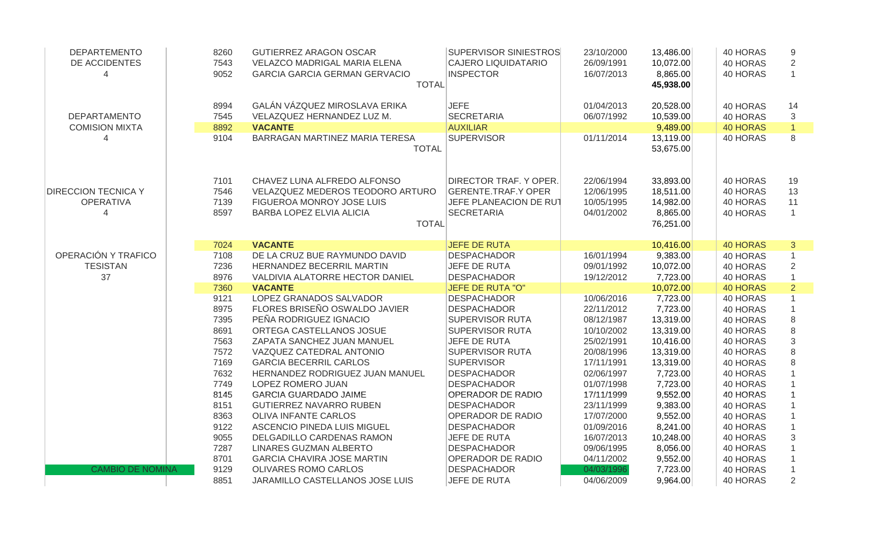| <b>DEPARTEMENTO</b>        | 8260         | <b>GUTIERREZ ARAGON OSCAR</b>                      | <b>SUPERVISOR SINIESTROS</b>                     | 23/10/2000               | 13,486.00              | 40 HORAS             | 9              |
|----------------------------|--------------|----------------------------------------------------|--------------------------------------------------|--------------------------|------------------------|----------------------|----------------|
| DE ACCIDENTES              | 7543         | VELAZCO MADRIGAL MARIA ELENA                       | <b>CAJERO LIQUIDATARIO</b>                       | 26/09/1991               | 10,072.00              | 40 HORAS             | 2              |
|                            | 9052         | <b>GARCIA GARCIA GERMAN GERVACIO</b>               | <b>INSPECTOR</b>                                 | 16/07/2013               | 8,865.00               | 40 HORAS             |                |
|                            |              | <b>TOTAL</b>                                       |                                                  |                          | 45,938.00              |                      |                |
|                            | 8994         | GALÁN VÁZQUEZ MIROSLAVA ERIKA                      | <b>JEFE</b>                                      | 01/04/2013               | 20,528.00              | 40 HORAS             | 14             |
| <b>DEPARTAMENTO</b>        | 7545         | VELAZQUEZ HERNANDEZ LUZ M.                         | <b>SECRETARIA</b>                                | 06/07/1992               | 10,539.00              | 40 HORAS             | 3              |
| <b>COMISION MIXTA</b>      | 8892         | <b>VACANTE</b>                                     | <b>AUXILIAR</b>                                  |                          | 9,489.00               | <b>40 HORAS</b>      | $\mathbf{1}$   |
| Δ                          | 9104         | BARRAGAN MARTINEZ MARIA TERESA                     | <b>SUPERVISOR</b>                                | 01/11/2014               | 13,119.00              | 40 HORAS             | 8              |
|                            |              | <b>TOTAL</b>                                       |                                                  |                          | 53,675.00              |                      |                |
|                            |              |                                                    |                                                  |                          |                        |                      |                |
|                            | 7101         | CHAVEZ LUNA ALFREDO ALFONSO                        | DIRECTOR TRAF. Y OPER.                           | 22/06/1994               | 33,893.00              | 40 HORAS             | 19             |
| <b>DIRECCION TECNICA Y</b> | 7546         | VELAZQUEZ MEDEROS TEODORO ARTURO                   | <b>GERENTE.TRAF.Y OPER</b>                       | 12/06/1995               | 18,511.00              | 40 HORAS             | 13             |
| <b>OPERATIVA</b>           | 7139         | FIGUEROA MONROY JOSE LUIS                          | JEFE PLANEACION DE RUT                           | 10/05/1995               | 14,982.00              | 40 HORAS             | 11             |
| 4                          | 8597         | BARBA LOPEZ ELVIA ALICIA                           | <b>SECRETARIA</b>                                | 04/01/2002               | 8,865.00               | 40 HORAS             | $\mathbf{1}$   |
|                            |              | <b>TOTAL</b>                                       |                                                  |                          | 76,251.00              |                      |                |
|                            |              |                                                    |                                                  |                          |                        |                      |                |
|                            | 7024         | <b>VACANTE</b>                                     | <b>JEFE DE RUTA</b>                              |                          | 10,416.00              | <b>40 HORAS</b>      | 3              |
| OPERACIÓN Y TRAFICO        | 7108         | DE LA CRUZ BUE RAYMUNDO DAVID                      | <b>DESPACHADOR</b>                               | 16/01/1994               | 9,383.00               | 40 HORAS             | $\mathbf{1}$   |
| <b>TESISTAN</b>            | 7236         | HERNANDEZ BECERRIL MARTIN                          | JEFE DE RUTA                                     | 09/01/1992               | 10,072.00              | 40 HORAS             | $\overline{2}$ |
| 37                         | 8976         | VALDIVIA ALATORRE HECTOR DANIEL                    | <b>DESPACHADOR</b>                               | 19/12/2012               | 7,723.00               | 40 HORAS             |                |
|                            | 7360         | <b>VACANTE</b><br>LOPEZ GRANADOS SALVADOR          | <b>JEFE DE RUTA "O"</b><br><b>DESPACHADOR</b>    |                          | 10,072.00              | <b>40 HORAS</b>      | $\overline{2}$ |
|                            | 9121         | FLORES BRISEÑO OSWALDO JAVIER                      |                                                  | 10/06/2016               | 7,723.00               | 40 HORAS             |                |
|                            | 8975         |                                                    | <b>DESPACHADOR</b>                               | 22/11/2012               | 7,723.00               | 40 HORAS             |                |
|                            | 7395<br>8691 | PEÑA RODRIGUEZ IGNACIO<br>ORTEGA CASTELLANOS JOSUE | <b>SUPERVISOR RUTA</b><br><b>SUPERVISOR RUTA</b> | 08/12/1987<br>10/10/2002 | 13,319.00<br>13,319.00 | 40 HORAS             | 8<br>8         |
|                            |              | ZAPATA SANCHEZ JUAN MANUEL                         | JEFE DE RUTA                                     |                          |                        | 40 HORAS             |                |
|                            | 7563         | VAZQUEZ CATEDRAL ANTONIO                           | <b>SUPERVISOR RUTA</b>                           | 25/02/1991<br>20/08/1996 | 10,416.00<br>13,319.00 | 40 HORAS<br>40 HORAS | 3<br>8         |
|                            | 7572<br>7169 | <b>GARCIA BECERRIL CARLOS</b>                      | <b>SUPERVISOR</b>                                | 17/11/1991               | 13,319.00              | 40 HORAS             | 8              |
|                            | 7632         | HERNANDEZ RODRIGUEZ JUAN MANUEL                    | <b>DESPACHADOR</b>                               | 02/06/1997               | 7,723.00               | 40 HORAS             |                |
|                            | 7749         | LOPEZ ROMERO JUAN                                  | <b>DESPACHADOR</b>                               | 01/07/1998               | 7,723.00               | 40 HORAS             |                |
|                            | 8145         | <b>GARCIA GUARDADO JAIME</b>                       | <b>OPERADOR DE RADIO</b>                         | 17/11/1999               | 9,552.00               | 40 HORAS             |                |
|                            | 8151         | <b>GUTIERREZ NAVARRO RUBEN</b>                     | <b>DESPACHADOR</b>                               | 23/11/1999               | 9,383.00               | 40 HORAS             |                |
|                            | 8363         | OLIVA INFANTE CARLOS                               | <b>OPERADOR DE RADIO</b>                         | 17/07/2000               | 9,552.00               | 40 HORAS             |                |
|                            | 9122         | ASCENCIO PINEDA LUIS MIGUEL                        | <b>DESPACHADOR</b>                               | 01/09/2016               | 8,241.00               | 40 HORAS             |                |
|                            | 9055         | DELGADILLO CARDENAS RAMON                          | JEFE DE RUTA                                     | 16/07/2013               | 10,248.00              | 40 HORAS             | 3              |
|                            | 7287         | <b>LINARES GUZMAN ALBERTO</b>                      | <b>DESPACHADOR</b>                               | 09/06/1995               | 8,056.00               | 40 HORAS             |                |
|                            | 8701         | <b>GARCIA CHAVIRA JOSE MARTIN</b>                  | <b>OPERADOR DE RADIO</b>                         | 04/11/2002               | 9,552.00               | 40 HORAS             |                |
| <b>CAMBIO DE NOMINA</b>    | 9129         | <b>OLIVARES ROMO CARLOS</b>                        | <b>DESPACHADOR</b>                               | 04/03/1996               | 7,723.00               | 40 HORAS             |                |
|                            | 8851         | JARAMILLO CASTELLANOS JOSE LUIS                    | JEFE DE RUTA                                     | 04/06/2009               | 9,964.00               | 40 HORAS             | $\overline{2}$ |
|                            |              |                                                    |                                                  |                          |                        |                      |                |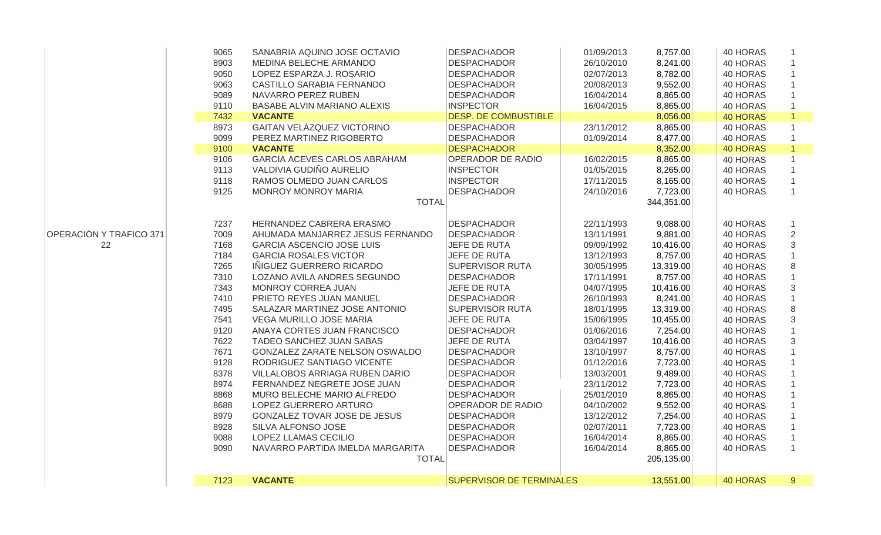|                         | 9065 | SANABRIA AQUINO JOSE OCTAVIO        | <b>DESPACHADOR</b>          | 01/09/2013 | 8,757.00   | 40 HORAS        |                |
|-------------------------|------|-------------------------------------|-----------------------------|------------|------------|-----------------|----------------|
|                         | 8903 | MEDINA BELECHE ARMANDO              | <b>DESPACHADOR</b>          | 26/10/2010 | 8,241.00   | 40 HORAS        |                |
|                         | 9050 | LOPEZ ESPARZA J. ROSARIO            | <b>DESPACHADOR</b>          | 02/07/2013 | 8,782.00   | 40 HORAS        |                |
|                         | 9063 | CASTILLO SARABIA FERNANDO           | <b>DESPACHADOR</b>          | 20/08/2013 | 9,552.00   | 40 HORAS        |                |
|                         | 9089 | NAVARRO PEREZ RUBEN                 | <b>DESPACHADOR</b>          | 16/04/2014 | 8,865.00   | 40 HORAS        |                |
|                         | 9110 | BASABE ALVIN MARIANO ALEXIS         | <b>INSPECTOR</b>            | 16/04/2015 | 8,865.00   | 40 HORAS        |                |
|                         | 7432 | <b>VACANTE</b>                      | <b>DESP. DE COMBUSTIBLE</b> |            | 8,056.00   | <b>40 HORAS</b> |                |
|                         | 8973 | <b>GAITAN VELÁZQUEZ VICTORINO</b>   | <b>DESPACHADOR</b>          | 23/11/2012 | 8,865.00   | 40 HORAS        |                |
|                         | 9099 | PEREZ MARTINEZ RIGOBERTO            | <b>DESPACHADOR</b>          | 01/09/2014 | 8,477.00   | 40 HORAS        |                |
|                         | 9100 | <b>VACANTE</b>                      | <b>DESPACHADOR</b>          |            | 8,352.00   | <b>40 HORAS</b> |                |
|                         | 9106 | <b>GARCIA ACEVES CARLOS ABRAHAM</b> | OPERADOR DE RADIO           | 16/02/2015 | 8,865.00   | 40 HORAS        |                |
|                         | 9113 | VALDIVIA GUDIÑO AURELIO             | <b>INSPECTOR</b>            | 01/05/2015 | 8,265.00   | 40 HORAS        |                |
|                         | 9118 | RAMOS OLMEDO JUAN CARLOS            | <b>INSPECTOR</b>            | 17/11/2015 | 8,165.00   | 40 HORAS        |                |
|                         | 9125 | MONROY MONROY MARIA                 | <b>DESPACHADOR</b>          | 24/10/2016 | 7,723.00   | 40 HORAS        |                |
|                         |      | <b>TOTAL</b>                        |                             |            | 344,351.00 |                 |                |
|                         | 7237 | HERNANDEZ CABRERA ERASMO            | <b>DESPACHADOR</b>          | 22/11/1993 |            | 40 HORAS        |                |
| OPERACIÓN Y TRAFICO 371 |      |                                     | <b>DESPACHADOR</b>          |            | 9,088.00   |                 | $\overline{2}$ |
|                         | 7009 | AHUMADA MANJARREZ JESUS FERNANDO    |                             | 13/11/1991 | 9,881.00   | 40 HORAS        |                |
| 22                      | 7168 | <b>GARCIA ASCENCIO JOSE LUIS</b>    | JEFE DE RUTA                | 09/09/1992 | 10,416.00  | 40 HORAS        | 3              |
|                         | 7184 | <b>GARCIA ROSALES VICTOR</b>        | JEFE DE RUTA                | 13/12/1993 | 8,757.00   | 40 HORAS        |                |
|                         | 7265 | INIGUEZ GUERRERO RICARDO            | SUPERVISOR RUTA             | 30/05/1995 | 13,319.00  | 40 HORAS        | 8              |
|                         | 7310 | LOZANO AVILA ANDRES SEGUNDO         | <b>DESPACHADOR</b>          | 17/11/1991 | 8,757.00   | 40 HORAS        |                |
|                         | 7343 | MONROY CORREA JUAN                  | JEFE DE RUTA                | 04/07/1995 | 10,416.00  | 40 HORAS        | $\mathfrak{B}$ |
|                         | 7410 | PRIETO REYES JUAN MANUEL            | <b>DESPACHADOR</b>          | 26/10/1993 | 8,241.00   | 40 HORAS        |                |
|                         | 7495 | SALAZAR MARTINEZ JOSE ANTONIO       | SUPERVISOR RUTA             | 18/01/1995 | 13,319.00  | 40 HORAS        | 8              |
|                         | 7541 | <b>VEGA MURILLO JOSE MARIA</b>      | JEFE DE RUTA                | 15/06/1995 | 10,455.00  | 40 HORAS        | 3              |
|                         | 9120 | ANAYA CORTES JUAN FRANCISCO         | <b>DESPACHADOR</b>          | 01/06/2016 | 7,254.00   | 40 HORAS        |                |
|                         | 7622 | TADEO SANCHEZ JUAN SABAS            | JEFE DE RUTA                | 03/04/1997 | 10,416.00  | 40 HORAS        | $\mathfrak{B}$ |
|                         | 7671 | GONZALEZ ZARATE NELSON OSWALDO      | <b>DESPACHADOR</b>          | 13/10/1997 | 8,757.00   | 40 HORAS        |                |
|                         | 9128 | RODRIGUEZ SANTIAGO VICENTE          | <b>DESPACHADOR</b>          | 01/12/2016 | 7,723.00   | 40 HORAS        |                |
|                         | 8378 | VILLALOBOS ARRIAGA RUBEN DARIO      | <b>DESPACHADOR</b>          | 13/03/2001 | 9,489.00   | 40 HORAS        |                |
|                         | 8974 | FERNANDEZ NEGRETE JOSE JUAN         | <b>DESPACHADOR</b>          | 23/11/2012 | 7,723.00   | 40 HORAS        |                |
|                         | 8868 | MURO BELECHE MARIO ALFREDO          | <b>DESPACHADOR</b>          | 25/01/2010 | 8,865.00   | 40 HORAS        |                |
|                         | 8688 | LOPEZ GUERRERO ARTURO               | OPERADOR DE RADIO           | 04/10/2002 | 9,552.00   | 40 HORAS        |                |
|                         | 8979 | GONZALEZ TOVAR JOSE DE JESUS        | <b>DESPACHADOR</b>          | 13/12/2012 | 7,254.00   | 40 HORAS        |                |
|                         | 8928 | SILVA ALFONSO JOSE                  | <b>DESPACHADOR</b>          | 02/07/2011 | 7,723.00   | 40 HORAS        |                |
|                         | 9088 | LOPEZ LLAMAS CECILIO                | <b>DESPACHADOR</b>          | 16/04/2014 | 8,865.00   | 40 HORAS        |                |
|                         | 9090 | NAVARRO PARTIDA IMELDA MARGARITA    | <b>DESPACHADOR</b>          | 16/04/2014 | 8,865.00   | 40 HORAS        |                |
|                         |      | <b>TOTAL</b>                        |                             |            | 205,135.00 |                 |                |
|                         | 7123 | <b>VACANTE</b>                      | SUPERVISOR DE TERMINALES    |            | 13,551.00  | <b>40 HORAS</b> | 9              |
|                         |      |                                     |                             |            |            |                 |                |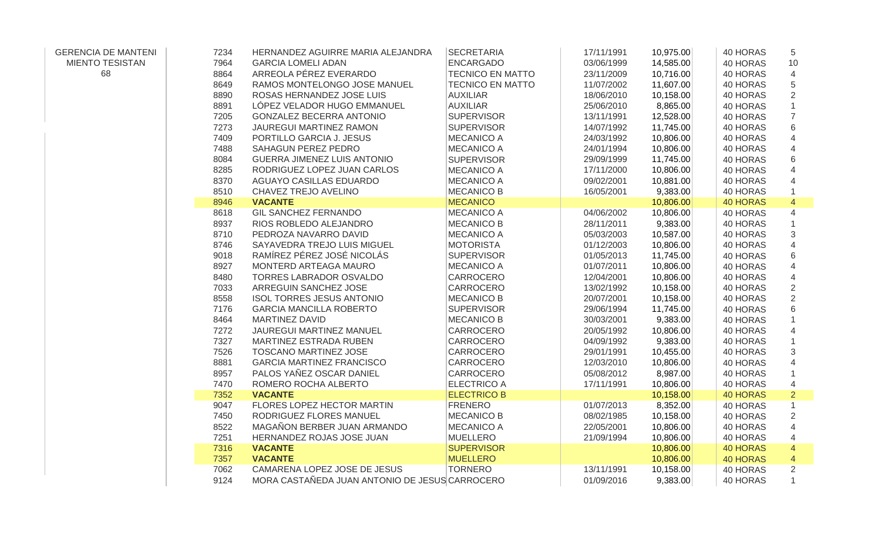| <b>GERENCIA DE MANTENI</b> | 7234 | HERNANDEZ AGUIRRE MARIA ALEJANDRA              | <b>SECRETARIA</b>       | 17/11/1991 | 10,975.00 | 40 HORAS        | 5              |
|----------------------------|------|------------------------------------------------|-------------------------|------------|-----------|-----------------|----------------|
| <b>MIENTO TESISTAN</b>     | 7964 | <b>GARCIA LOMELI ADAN</b>                      | <b>ENCARGADO</b>        | 03/06/1999 | 14,585.00 | 40 HORAS        | 10             |
| 68                         | 8864 | ARREOLA PÉREZ EVERARDO                         | <b>TECNICO EN MATTO</b> | 23/11/2009 | 10,716.00 | 40 HORAS        | $\overline{4}$ |
|                            | 8649 | RAMOS MONTELONGO JOSE MANUEL                   | <b>TECNICO EN MATTO</b> | 11/07/2002 | 11,607.00 | 40 HORAS        | 5              |
|                            | 8890 | ROSAS HERNANDEZ JOSE LUIS                      | <b>AUXILIAR</b>         | 18/06/2010 | 10,158.00 | 40 HORAS        | $\overline{2}$ |
|                            | 8891 | LÓPEZ VELADOR HUGO EMMANUEL                    | <b>AUXILIAR</b>         | 25/06/2010 | 8,865.00  | 40 HORAS        |                |
|                            | 7205 | <b>GONZALEZ BECERRA ANTONIO</b>                | <b>SUPERVISOR</b>       | 13/11/1991 | 12,528.00 | 40 HORAS        | $\overline{7}$ |
|                            | 7273 | <b>JAUREGUI MARTINEZ RAMON</b>                 | <b>SUPERVISOR</b>       | 14/07/1992 | 11,745.00 | 40 HORAS        | 6              |
|                            | 7409 | PORTILLO GARCIA J. JESUS                       | <b>MECANICO A</b>       | 24/03/1992 | 10,806.00 | 40 HORAS        | $\overline{4}$ |
|                            | 7488 | SAHAGUN PEREZ PEDRO                            | <b>MECANICO A</b>       | 24/01/1994 | 10,806.00 | 40 HORAS        | $\overline{4}$ |
|                            | 8084 | <b>GUERRA JIMENEZ LUIS ANTONIO</b>             | <b>SUPERVISOR</b>       | 29/09/1999 | 11,745.00 | 40 HORAS        | 6              |
|                            | 8285 | RODRIGUEZ LOPEZ JUAN CARLOS                    | <b>MECANICO A</b>       | 17/11/2000 | 10,806.00 | 40 HORAS        | $\overline{4}$ |
|                            | 8370 | <b>AGUAYO CASILLAS EDUARDO</b>                 | <b>MECANICO A</b>       | 09/02/2001 | 10,881.00 | 40 HORAS        | 4              |
|                            | 8510 | CHAVEZ TREJO AVELINO                           | <b>MECANICO B</b>       | 16/05/2001 | 9,383.00  | 40 HORAS        | $\mathbf{1}$   |
|                            | 8946 | <b>VACANTE</b>                                 | <b>MECANICO</b>         |            | 10,806.00 | <b>40 HORAS</b> | $\overline{4}$ |
|                            | 8618 | <b>GIL SANCHEZ FERNANDO</b>                    | <b>MECANICO A</b>       | 04/06/2002 | 10,806.00 | 40 HORAS        | 4              |
|                            | 8937 | RIOS ROBLEDO ALEJANDRO                         | <b>MECANICO B</b>       | 28/11/2011 | 9,383.00  | 40 HORAS        |                |
|                            | 8710 | PEDROZA NAVARRO DAVID                          | <b>MECANICO A</b>       | 05/03/2003 | 10,587.00 | 40 HORAS        | 3              |
|                            | 8746 | SAYAVEDRA TREJO LUIS MIGUEL                    | <b>MOTORISTA</b>        | 01/12/2003 | 10,806.00 | 40 HORAS        | $\overline{4}$ |
|                            | 9018 | RAMÍREZ PÉREZ JOSÉ NICOLÁS                     | <b>SUPERVISOR</b>       | 01/05/2013 | 11,745.00 | 40 HORAS        | $\,6$          |
|                            | 8927 | MONTERD ARTEAGA MAURO                          | <b>MECANICO A</b>       | 01/07/2011 | 10,806.00 | 40 HORAS        | 4              |
|                            | 8480 | TORRES LABRADOR OSVALDO                        | CARROCERO               | 12/04/2001 | 10,806.00 | 40 HORAS        | 4              |
|                            | 7033 | ARREGUIN SANCHEZ JOSE                          | CARROCERO               | 13/02/1992 | 10,158.00 | 40 HORAS        | $\overline{2}$ |
|                            | 8558 | <b>ISOL TORRES JESUS ANTONIO</b>               | <b>MECANICO B</b>       | 20/07/2001 | 10,158.00 | 40 HORAS        | 2              |
|                            | 7176 | <b>GARCIA MANCILLA ROBERTO</b>                 | <b>SUPERVISOR</b>       | 29/06/1994 | 11,745.00 | 40 HORAS        | $\,6$          |
|                            | 8464 | <b>MARTINEZ DAVID</b>                          | <b>MECANICO B</b>       | 30/03/2001 | 9,383.00  | 40 HORAS        |                |
|                            | 7272 | JAUREGUI MARTINEZ MANUEL                       | CARROCERO               | 20/05/1992 | 10,806.00 | 40 HORAS        | 4              |
|                            | 7327 | MARTINEZ ESTRADA RUBEN                         | CARROCERO               | 04/09/1992 | 9,383.00  | 40 HORAS        |                |
|                            | 7526 | TOSCANO MARTINEZ JOSE                          | CARROCERO               | 29/01/1991 | 10,455.00 | 40 HORAS        | $\sqrt{3}$     |
|                            | 8881 | <b>GARCIA MARTINEZ FRANCISCO</b>               | <b>CARROCERO</b>        | 12/03/2010 | 10,806.00 | 40 HORAS        | 4              |
|                            | 8957 | PALOS YAÑEZ OSCAR DANIEL                       | CARROCERO               | 05/08/2012 | 8,987.00  | 40 HORAS        | $\mathbf{1}$   |
|                            | 7470 | ROMERO ROCHA ALBERTO                           | <b>ELECTRICO A</b>      | 17/11/1991 | 10,806.00 | 40 HORAS        | 4              |
|                            | 7352 | <b>VACANTE</b>                                 | <b>ELECTRICO B</b>      |            | 10,158.00 | <b>40 HORAS</b> | $\overline{2}$ |
|                            | 9047 | FLORES LOPEZ HECTOR MARTIN                     | <b>FRENERO</b>          | 01/07/2013 | 8,352.00  | 40 HORAS        | $\mathbf{1}$   |
|                            | 7450 | RODRIGUEZ FLORES MANUEL                        | <b>MECANICO B</b>       | 08/02/1985 | 10,158.00 | 40 HORAS        | $\overline{2}$ |
|                            | 8522 | MAGAÑON BERBER JUAN ARMANDO                    | <b>MECANICO A</b>       | 22/05/2001 | 10,806.00 | 40 HORAS        | $\overline{4}$ |
|                            | 7251 | HERNANDEZ ROJAS JOSE JUAN                      | <b>MUELLERO</b>         | 21/09/1994 | 10,806.00 | 40 HORAS        | 4              |
|                            | 7316 | <b>VACANTE</b>                                 | <b>SUPERVISOR</b>       |            | 10,806.00 | <b>40 HORAS</b> | $\overline{4}$ |
|                            | 7357 | <b>VACANTE</b>                                 | <b>MUELLERO</b>         |            | 10,806.00 | <b>40 HORAS</b> | $\overline{4}$ |
|                            | 7062 | CAMARENA LOPEZ JOSE DE JESUS                   | <b>TORNERO</b>          | 13/11/1991 | 10,158.00 | 40 HORAS        | $\overline{2}$ |
|                            | 9124 | MORA CASTAÑEDA JUAN ANTONIO DE JESUS CARROCERO |                         | 01/09/2016 | 9,383.00  | 40 HORAS        | $\mathbf{1}$   |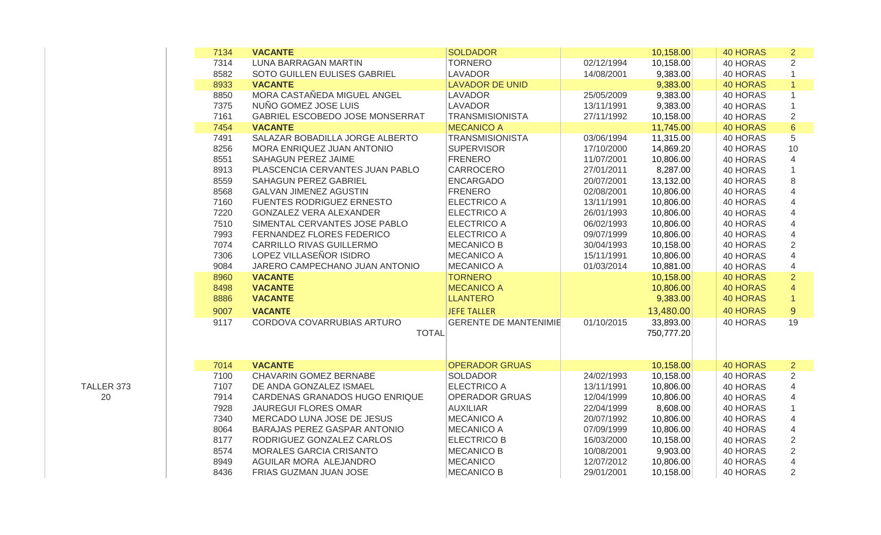| 7134 | <b>VACANTE</b>                   | <b>SOLDADOR</b>              |            | 10,158.00  | <b>40 HORAS</b> | $\overline{2}$ |
|------|----------------------------------|------------------------------|------------|------------|-----------------|----------------|
| 7314 | LUNA BARRAGAN MARTIN             | <b>TORNERO</b>               | 02/12/1994 | 10,158.00  | 40 HORAS        | $\overline{2}$ |
| 8582 | SOTO GUILLEN EULISES GABRIEL     | <b>LAVADOR</b>               | 14/08/2001 | 9,383.00   | 40 HORAS        |                |
| 8933 | <b>VACANTE</b>                   | <b>LAVADOR DE UNID</b>       |            | 9,383.00   | <b>40 HORAS</b> |                |
| 8850 | MORA CASTAÑEDA MIGUEL ANGEL      | <b>LAVADOR</b>               | 25/05/2009 | 9,383.00   | 40 HORAS        | 1              |
| 7375 | NUÑO GOMEZ JOSE LUIS             | <b>LAVADOR</b>               | 13/11/1991 | 9,383.00   | 40 HORAS        |                |
| 7161 | GABRIEL ESCOBEDO JOSE MONSERRAT  | <b>TRANSMISIONISTA</b>       | 27/11/1992 | 10,158.00  | 40 HORAS        | $\sqrt{2}$     |
| 7454 | <b>VACANTE</b>                   | <b>MECANICO A</b>            |            | 11,745.00  | <b>40 HORAS</b> | $\,6\,$        |
| 7491 | SALAZAR BOBADILLA JORGE ALBERTO  | <b>TRANSMISIONISTA</b>       | 03/06/1994 | 11,315.00  | 40 HORAS        | 5              |
| 8256 | MORA ENRIQUEZ JUAN ANTONIO       | <b>SUPERVISOR</b>            | 17/10/2000 | 14,869.20  | 40 HORAS        | 10             |
| 8551 | <b>SAHAGUN PEREZ JAIME</b>       | <b>FRENERO</b>               | 11/07/2001 | 10,806.00  | 40 HORAS        | 4              |
| 8913 | PLASCENCIA CERVANTES JUAN PABLO  | CARROCERO                    | 27/01/2011 | 8,287.00   | 40 HORAS        | 1              |
| 8559 | SAHAGUN PEREZ GABRIEL            | <b>ENCARGADO</b>             | 20/07/2001 | 13,132.00  | 40 HORAS        | 8              |
| 8568 | <b>GALVAN JIMENEZ AGUSTIN</b>    | <b>FRENERO</b>               | 02/08/2001 | 10,806.00  | 40 HORAS        | $\overline{4}$ |
| 7160 | <b>FUENTES RODRIGUEZ ERNESTO</b> | <b>ELECTRICO A</b>           | 13/11/1991 | 10,806.00  | 40 HORAS        | $\overline{4}$ |
| 7220 | <b>GONZALEZ VERA ALEXANDER</b>   | <b>ELECTRICO A</b>           | 26/01/1993 | 10,806.00  | 40 HORAS        | $\overline{4}$ |
| 7510 | SIMENTAL CERVANTES JOSE PABLO    | <b>ELECTRICO A</b>           | 06/02/1993 | 10,806.00  | 40 HORAS        | 4              |
| 7993 | FERNANDEZ FLORES FEDERICO        | <b>ELECTRICO A</b>           | 09/07/1999 | 10,806.00  | 40 HORAS        | $\overline{4}$ |
| 7074 | CARRILLO RIVAS GUILLERMO         | <b>MECANICO B</b>            | 30/04/1993 | 10,158.00  | 40 HORAS        | $\overline{2}$ |
| 7306 | LOPEZ VILLASEÑOR ISIDRO          | <b>MECANICO A</b>            | 15/11/1991 | 10,806.00  | 40 HORAS        | $\overline{4}$ |
| 9084 | JARERO CAMPECHANO JUAN ANTONIO   | <b>MECANICO A</b>            | 01/03/2014 | 10,881.00  | 40 HORAS        | $\overline{4}$ |
| 8960 | <b>VACANTE</b>                   | <b>TORNERO</b>               |            | 10,158.00  | <b>40 HORAS</b> | $\overline{2}$ |
| 8498 | <b>VACANTE</b>                   | <b>MECANICO A</b>            |            | 10,806.00  | <b>40 HORAS</b> | $\overline{4}$ |
| 8886 | <b>VACANTE</b>                   | <b>LLANTERO</b>              |            | 9,383.00   | <b>40 HORAS</b> | $\mathbf{1}$   |
| 9007 | <b>VACANTE</b>                   | <b>JEFE TALLER</b>           |            | 13,480.00  | <b>40 HORAS</b> | $\overline{9}$ |
| 9117 | CORDOVA COVARRUBIAS ARTURO       | <b>GERENTE DE MANTENIMIE</b> | 01/10/2015 | 33,893.00  | 40 HORAS        | 19             |
|      | <b>TOTAL</b>                     |                              |            | 750,777.20 |                 |                |
|      |                                  |                              |            |            |                 |                |
|      |                                  |                              |            |            |                 |                |
| 7014 | <b>VACANTE</b>                   | <b>OPERADOR GRUAS</b>        |            | 10,158.00  | <b>40 HORAS</b> | $\overline{2}$ |
| 7100 | <b>CHAVARIN GOMEZ BERNABE</b>    | <b>SOLDADOR</b>              | 24/02/1993 | 10,158.00  | 40 HORAS        | $\overline{2}$ |
| 7107 | DE ANDA GONZALEZ ISMAEL          | <b>ELECTRICO A</b>           | 13/11/1991 | 10,806.00  | 40 HORAS        | 4              |
| 7914 | CARDENAS GRANADOS HUGO ENRIQUE   | <b>OPERADOR GRUAS</b>        | 12/04/1999 | 10,806.00  | 40 HORAS        | 4              |
| 7928 | <b>JAUREGUI FLORES OMAR</b>      | <b>AUXILIAR</b>              | 22/04/1999 | 8,608.00   | 40 HORAS        | 1              |
| 7340 | MERCADO LUNA JOSE DE JESUS       | <b>MECANICO A</b>            | 20/07/1992 | 10,806.00  | 40 HORAS        | 4              |
| 8064 | BARAJAS PEREZ GASPAR ANTONIO     | <b>MECANICO A</b>            | 07/09/1999 | 10,806.00  | 40 HORAS        | 4              |
| 8177 | RODRIGUEZ GONZALEZ CARLOS        | <b>ELECTRICO B</b>           | 16/03/2000 | 10,158.00  | 40 HORAS        | $\overline{2}$ |
| 8574 | MORALES GARCIA CRISANTO          | <b>MECANICO B</b>            | 10/08/2001 | 9,903.00   | 40 HORAS        | $\overline{2}$ |
| 8949 | AGUILAR MORA ALEJANDRO           | <b>MECANICO</b>              | 12/07/2012 | 10,806.00  | 40 HORAS        | 4              |
| 8436 | FRIAS GUZMAN JUAN JOSE           | <b>MECANICO B</b>            | 29/01/2001 | 10,158.00  | 40 HORAS        | $\overline{2}$ |
|      |                                  |                              |            |            |                 |                |

TALLER 373 20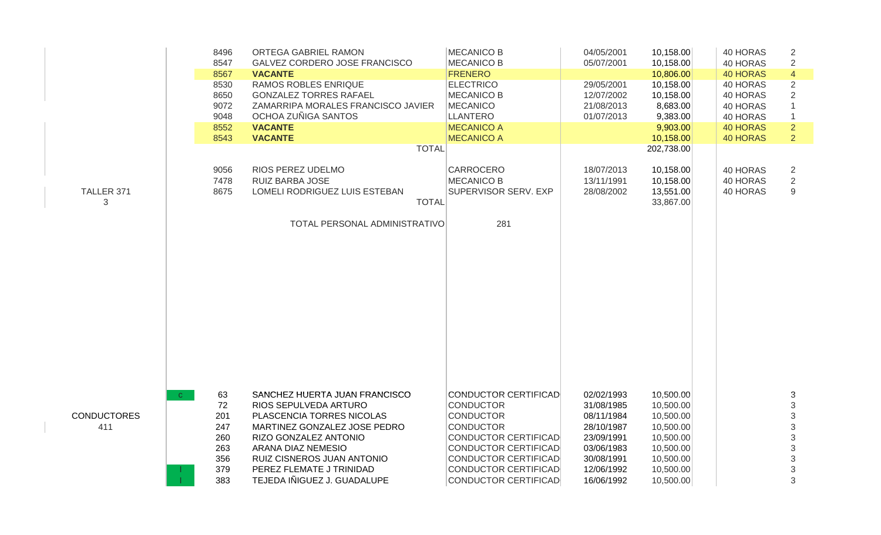|                    |              | 8496<br>8547 | ORTEGA GABRIEL RAMON<br>GALVEZ CORDERO JOSE FRANCISCO | <b>MECANICO B</b><br><b>MECANICO B</b> | 04/05/2001<br>05/07/2001 | 10,158.00<br>10,158.00 | 40 HORAS<br>40 HORAS | 2<br>$\sqrt{2}$           |
|--------------------|--------------|--------------|-------------------------------------------------------|----------------------------------------|--------------------------|------------------------|----------------------|---------------------------|
|                    |              | 8567         | <b>VACANTE</b>                                        | <b>FRENERO</b>                         |                          | 10,806.00              | <b>40 HORAS</b>      | $\overline{4}$            |
|                    |              | 8530         | RAMOS ROBLES ENRIQUE                                  | <b>ELECTRICO</b>                       | 29/05/2001               | 10,158.00              | 40 HORAS             | $\overline{2}$            |
|                    |              | 8650         | <b>GONZALEZ TORRES RAFAEL</b>                         | <b>MECANICO B</b>                      | 12/07/2002               | 10,158.00              | 40 HORAS             | $\overline{2}$            |
|                    |              | 9072         | ZAMARRIPA MORALES FRANCISCO JAVIER                    | MECANICO                               | 21/08/2013               | 8,683.00               | 40 HORAS             | $\mathbf{1}$              |
|                    |              | 9048         | OCHOA ZUÑIGA SANTOS                                   | LLANTERO                               | 01/07/2013               | 9,383.00               | 40 HORAS             | $\mathbf{1}$              |
|                    |              | 8552         | <b>VACANTE</b>                                        | <b>MECANICO A</b>                      |                          | 9,903.00               | <b>40 HORAS</b>      | $\overline{2}$            |
|                    |              | 8543         | <b>VACANTE</b>                                        | <b>MECANICO A</b>                      |                          | 10,158.00              | <b>40 HORAS</b>      | $\overline{2}$            |
|                    |              |              | <b>TOTAL</b>                                          |                                        |                          | 202,738.00             |                      |                           |
|                    |              | 9056         | RIOS PEREZ UDELMO                                     | <b>CARROCERO</b>                       | 18/07/2013               | 10,158.00              | 40 HORAS             | 2                         |
|                    |              | 7478         | RUIZ BARBA JOSE                                       | <b>MECANICO B</b>                      | 13/11/1991               | 10,158.00              | 40 HORAS             | $\overline{2}$            |
| TALLER 371         |              | 8675         | LOMELI RODRIGUEZ LUIS ESTEBAN                         | <b>SUPERVISOR SERV. EXP</b>            | 28/08/2002               | 13,551.00              | 40 HORAS             | 9                         |
| 3                  |              |              | <b>TOTAL</b>                                          |                                        |                          | 33,867.00              |                      |                           |
|                    |              |              | TOTAL PERSONAL ADMINISTRATIVO                         | 281                                    |                          |                        |                      |                           |
|                    |              |              |                                                       |                                        |                          |                        |                      |                           |
|                    |              |              |                                                       |                                        |                          |                        |                      |                           |
|                    |              |              |                                                       |                                        |                          |                        |                      |                           |
|                    |              |              |                                                       |                                        |                          |                        |                      |                           |
|                    |              |              |                                                       |                                        |                          |                        |                      |                           |
|                    | $\mathbf{C}$ | 63           | SANCHEZ HUERTA JUAN FRANCISCO                         | CONDUCTOR CERTIFICAD                   | 02/02/1993               | 10,500.00              |                      | 3                         |
|                    |              | 72           | RIOS SEPULVEDA ARTURO                                 | <b>CONDUCTOR</b>                       | 31/08/1985               | 10,500.00              |                      |                           |
| <b>CONDUCTORES</b> |              | 201          | PLASCENCIA TORRES NICOLAS                             | <b>CONDUCTOR</b>                       | 08/11/1984               | 10,500.00              |                      | $\frac{3}{3}$             |
| 411                |              | 247          | MARTINEZ GONZALEZ JOSE PEDRO                          | <b>CONDUCTOR</b>                       | 28/10/1987               | 10,500.00              |                      | $\mathfrak{S}$            |
|                    |              | 260          | RIZO GONZALEZ ANTONIO                                 | CONDUCTOR CERTIFICAD                   | 23/09/1991               | 10,500.00              |                      | $\sqrt{3}$                |
|                    |              | 263          | ARANA DIAZ NEMESIO                                    | <b>CONDUCTOR CERTIFICAD</b>            | 03/06/1983               | 10,500.00              |                      | $\ensuremath{\mathsf{3}}$ |
|                    |              | 356          | RUIZ CISNEROS JUAN ANTONIO                            | CONDUCTOR CERTIFICAD                   | 30/08/1991               | 10,500.00              |                      | $\ensuremath{\mathsf{3}}$ |
|                    |              | 379          | PEREZ FLEMATE J TRINIDAD                              | CONDUCTOR CERTIFICAD                   | 12/06/1992               | 10,500.00              |                      | $\mathsf 3$               |
|                    |              | 383          | TEJEDA IÑIGUEZ J. GUADALUPE                           | CONDUCTOR CERTIFICAD                   | 16/06/1992               | 10,500.00              |                      | 3                         |
|                    |              |              |                                                       |                                        |                          |                        |                      |                           |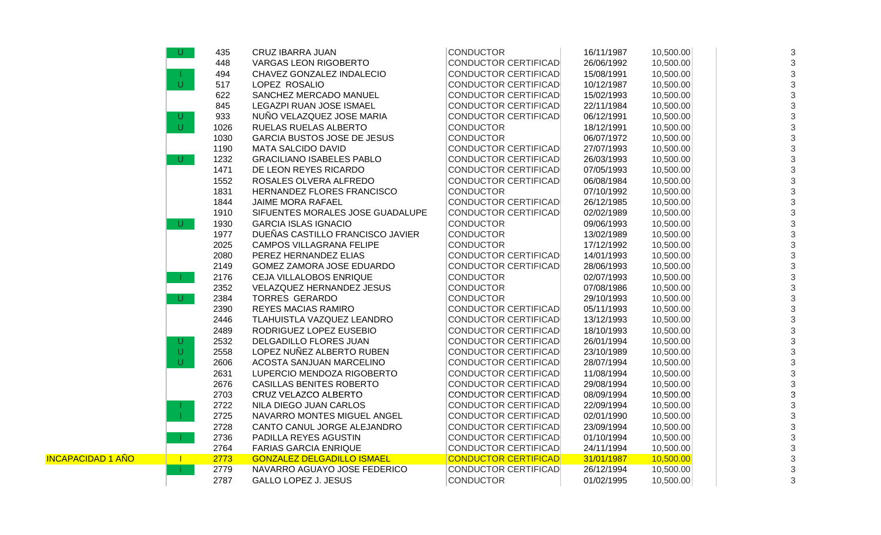|                          | U            | 435  | <b>CRUZ IBARRA JUAN</b>            | <b>CONDUCTOR</b>            | 16/11/1987 | 10,500.00 | 3              |
|--------------------------|--------------|------|------------------------------------|-----------------------------|------------|-----------|----------------|
|                          |              | 448  | <b>VARGAS LEON RIGOBERTO</b>       | <b>CONDUCTOR CERTIFICAD</b> | 26/06/1992 | 10,500.00 | 3              |
|                          |              | 494  | CHAVEZ GONZALEZ INDALECIO          | <b>CONDUCTOR CERTIFICAD</b> | 15/08/1991 | 10,500.00 | 3              |
|                          | $\cup$       | 517  | LOPEZ ROSALIO                      | <b>CONDUCTOR CERTIFICAD</b> | 10/12/1987 | 10,500.00 | 3              |
|                          |              | 622  | SANCHEZ MERCADO MANUEL             | <b>CONDUCTOR CERTIFICAD</b> | 15/02/1993 | 10,500.00 | 3              |
|                          |              | 845  | LEGAZPI RUAN JOSE ISMAEL           | <b>CONDUCTOR CERTIFICAD</b> | 22/11/1984 | 10,500.00 | 3              |
|                          | U            | 933  | NUÑO VELAZQUEZ JOSE MARIA          | <b>CONDUCTOR CERTIFICAD</b> | 06/12/1991 | 10,500.00 | 3              |
|                          | $\cup$       | 1026 | RUELAS RUELAS ALBERTO              | <b>CONDUCTOR</b>            | 18/12/1991 | 10,500.00 | 3              |
|                          |              | 1030 | <b>GARCIA BUSTOS JOSE DE JESUS</b> | <b>CONDUCTOR</b>            | 06/07/1972 | 10,500.00 | 3              |
|                          |              | 1190 | <b>MATA SALCIDO DAVID</b>          | CONDUCTOR CERTIFICAD        | 27/07/1993 | 10,500.00 | 3              |
|                          | U            | 1232 | <b>GRACILIANO ISABELES PABLO</b>   | <b>CONDUCTOR CERTIFICAD</b> | 26/03/1993 | 10,500.00 | 3              |
|                          |              | 1471 | DE LEON REYES RICARDO              | <b>CONDUCTOR CERTIFICAD</b> | 07/05/1993 | 10,500.00 | 3              |
|                          |              | 1552 | ROSALES OLVERA ALFREDO             | CONDUCTOR CERTIFICAD        | 06/08/1984 | 10,500.00 | $\sqrt{3}$     |
|                          |              | 1831 | HERNANDEZ FLORES FRANCISCO         | <b>CONDUCTOR</b>            | 07/10/1992 | 10,500.00 | $\sqrt{3}$     |
|                          |              | 1844 | JAIME MORA RAFAEL                  | <b>CONDUCTOR CERTIFICAD</b> | 26/12/1985 | 10,500.00 | 3              |
|                          |              | 1910 | SIFUENTES MORALES JOSE GUADALUPE   | CONDUCTOR CERTIFICAD        | 02/02/1989 | 10,500.00 | 3              |
|                          | U.           | 1930 | <b>GARCIA ISLAS IGNACIO</b>        | <b>CONDUCTOR</b>            | 09/06/1993 | 10,500.00 | 3              |
|                          |              | 1977 | DUEÑAS CASTILLO FRANCISCO JAVIER   | <b>CONDUCTOR</b>            | 13/02/1989 | 10,500.00 | 3              |
|                          |              | 2025 | <b>CAMPOS VILLAGRANA FELIPE</b>    | <b>CONDUCTOR</b>            | 17/12/1992 | 10,500.00 | 3              |
|                          |              | 2080 | PEREZ HERNANDEZ ELIAS              | <b>CONDUCTOR CERTIFICAD</b> | 14/01/1993 | 10,500.00 | 3              |
|                          |              | 2149 | GOMEZ ZAMORA JOSE EDUARDO          | CONDUCTOR CERTIFICAD        | 28/06/1993 | 10,500.00 | $\mathfrak{S}$ |
|                          |              | 2176 | CEJA VILLALOBOS ENRIQUE            | <b>CONDUCTOR</b>            | 02/07/1993 | 10,500.00 | 3              |
|                          |              | 2352 | VELAZQUEZ HERNANDEZ JESUS          | <b>CONDUCTOR</b>            | 07/08/1986 | 10,500.00 | 3              |
|                          | U            | 2384 | <b>TORRES GERARDO</b>              | <b>CONDUCTOR</b>            | 29/10/1993 | 10,500.00 | 3              |
|                          |              | 2390 | <b>REYES MACIAS RAMIRO</b>         | <b>CONDUCTOR CERTIFICAD</b> | 05/11/1993 | 10,500.00 | $\sqrt{3}$     |
|                          |              | 2446 | TLAHUISTLA VAZQUEZ LEANDRO         | <b>CONDUCTOR CERTIFICAD</b> | 13/12/1993 | 10,500.00 | 3              |
|                          |              | 2489 | RODRIGUEZ LOPEZ EUSEBIO            | <b>CONDUCTOR CERTIFICAD</b> | 18/10/1993 | 10,500.00 | 3              |
|                          | U            | 2532 | DELGADILLO FLORES JUAN             | <b>CONDUCTOR CERTIFICAD</b> | 26/01/1994 | 10,500.00 | 3              |
|                          | U            | 2558 | LOPEZ NUÑEZ ALBERTO RUBEN          | <b>CONDUCTOR CERTIFICAD</b> | 23/10/1989 | 10,500.00 | 3              |
|                          | U.           | 2606 | ACOSTA SANJUAN MARCELINO           | <b>CONDUCTOR CERTIFICAD</b> | 28/07/1994 | 10,500.00 | 3              |
|                          |              | 2631 | LUPERCIO MENDOZA RIGOBERTO         | <b>CONDUCTOR CERTIFICAD</b> | 11/08/1994 | 10,500.00 | 3              |
|                          |              | 2676 | <b>CASILLAS BENITES ROBERTO</b>    | CONDUCTOR CERTIFICAD        | 29/08/1994 | 10,500.00 | 3              |
|                          |              | 2703 | CRUZ VELAZCO ALBERTO               | CONDUCTOR CERTIFICAD        | 08/09/1994 | 10,500.00 | 3              |
|                          |              | 2722 | NILA DIEGO JUAN CARLOS             | <b>CONDUCTOR CERTIFICAD</b> | 22/09/1994 | 10,500.00 | 3              |
|                          |              | 2725 | NAVARRO MONTES MIGUEL ANGEL        | <b>CONDUCTOR CERTIFICAD</b> | 02/01/1990 | 10,500.00 | 3              |
|                          |              | 2728 | CANTO CANUL JORGE ALEJANDRO        | <b>CONDUCTOR CERTIFICAD</b> | 23/09/1994 | 10,500.00 | 3              |
|                          |              | 2736 | PADILLA REYES AGUSTIN              | <b>CONDUCTOR CERTIFICAD</b> | 01/10/1994 | 10,500.00 | 3              |
|                          |              | 2764 | <b>FARIAS GARCIA ENRIQUE</b>       | CONDUCTOR CERTIFICAD        | 24/11/1994 | 10,500.00 | 3              |
| <b>INCAPACIDAD 1 AÑO</b> | $\mathbb{R}$ | 2773 | <b>GONZALEZ DELGADILLO ISMAEL</b>  | <b>CONDUCTOR CERTIFICAD</b> | 31/01/1987 | 10,500.00 | 3              |
|                          |              | 2779 | NAVARRO AGUAYO JOSE FEDERICO       | <b>CONDUCTOR CERTIFICAD</b> | 26/12/1994 | 10,500.00 | 3              |
|                          |              | 2787 | <b>GALLO LOPEZ J. JESUS</b>        | <b>CONDUCTOR</b>            | 01/02/1995 | 10,500.00 | 3              |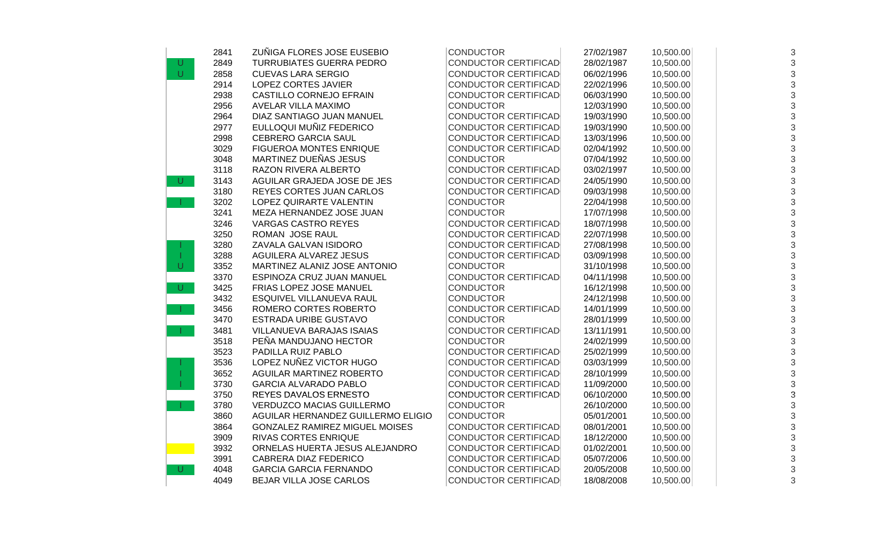|        | 2841 | ZUÑIGA FLORES JOSE EUSEBIO            | <b>CONDUCTOR</b>            | 27/02/1987 | 10,500.00 | $\sqrt{3}$     |
|--------|------|---------------------------------------|-----------------------------|------------|-----------|----------------|
| U      | 2849 | <b>TURRUBIATES GUERRA PEDRO</b>       | <b>CONDUCTOR CERTIFICAD</b> | 28/02/1987 | 10,500.00 | $\mathfrak{Z}$ |
| $\cup$ | 2858 | <b>CUEVAS LARA SERGIO</b>             | <b>CONDUCTOR CERTIFICAD</b> | 06/02/1996 | 10,500.00 | 3              |
|        | 2914 | LOPEZ CORTES JAVIER                   | <b>CONDUCTOR CERTIFICAD</b> | 22/02/1996 | 10,500.00 | $\mathfrak{S}$ |
|        | 2938 | CASTILLO CORNEJO EFRAIN               | <b>CONDUCTOR CERTIFICAD</b> | 06/03/1990 | 10,500.00 | 3              |
|        | 2956 | AVELAR VILLA MAXIMO                   | <b>CONDUCTOR</b>            | 12/03/1990 | 10,500.00 | 3              |
|        | 2964 | DIAZ SANTIAGO JUAN MANUEL             | CONDUCTOR CERTIFICAD        | 19/03/1990 | 10,500.00 | 3              |
|        | 2977 | EULLOQUI MUÑIZ FEDERICO               | <b>CONDUCTOR CERTIFICAD</b> | 19/03/1990 | 10,500.00 | 3              |
|        | 2998 | <b>CEBRERO GARCIA SAUL</b>            | <b>CONDUCTOR CERTIFICAD</b> | 13/03/1996 | 10,500.00 | $\mathfrak{Z}$ |
|        | 3029 | <b>FIGUEROA MONTES ENRIQUE</b>        | CONDUCTOR CERTIFICAD        | 02/04/1992 | 10,500.00 | $\mathfrak{S}$ |
|        | 3048 | MARTINEZ DUEÑAS JESUS                 | <b>CONDUCTOR</b>            | 07/04/1992 | 10,500.00 | $\mathfrak{S}$ |
|        | 3118 | RAZON RIVERA ALBERTO                  | <b>CONDUCTOR CERTIFICAD</b> | 03/02/1997 | 10,500.00 | 3              |
| $\cup$ | 3143 | AGUILAR GRAJEDA JOSE DE JES           | <b>CONDUCTOR CERTIFICAD</b> | 24/05/1990 | 10,500.00 | $\mathfrak{S}$ |
|        | 3180 | REYES CORTES JUAN CARLOS              | <b>CONDUCTOR CERTIFICAD</b> | 09/03/1998 | 10,500.00 | $\mathfrak{S}$ |
|        | 3202 | LOPEZ QUIRARTE VALENTIN               | <b>CONDUCTOR</b>            | 22/04/1998 | 10,500.00 | 3              |
|        | 3241 | MEZA HERNANDEZ JOSE JUAN              | <b>CONDUCTOR</b>            | 17/07/1998 | 10,500.00 | 3              |
|        | 3246 | <b>VARGAS CASTRO REYES</b>            | <b>CONDUCTOR CERTIFICAD</b> | 18/07/1998 | 10,500.00 | 3              |
|        | 3250 | ROMAN JOSE RAUL                       | <b>CONDUCTOR CERTIFICAD</b> | 22/07/1998 | 10,500.00 | 3              |
|        | 3280 | ZAVALA GALVAN ISIDORO                 | <b>CONDUCTOR CERTIFICAD</b> | 27/08/1998 | 10,500.00 | 3              |
|        | 3288 | AGUILERA ALVAREZ JESUS                | <b>CONDUCTOR CERTIFICAD</b> | 03/09/1998 | 10,500.00 | $\mathfrak{S}$ |
| $\cup$ | 3352 | MARTINEZ ALANIZ JOSE ANTONIO          | <b>CONDUCTOR</b>            | 31/10/1998 | 10,500.00 | 3              |
|        | 3370 | ESPINOZA CRUZ JUAN MANUEL             | <b>CONDUCTOR CERTIFICAD</b> | 04/11/1998 | 10,500.00 | 3              |
| $\cup$ | 3425 | FRIAS LOPEZ JOSE MANUEL               | <b>CONDUCTOR</b>            | 16/12/1998 | 10,500.00 | $\mathfrak{S}$ |
|        | 3432 | ESQUIVEL VILLANUEVA RAUL              | <b>CONDUCTOR</b>            | 24/12/1998 | 10,500.00 | 3              |
|        | 3456 | ROMERO CORTES ROBERTO                 | <b>CONDUCTOR CERTIFICAD</b> | 14/01/1999 | 10,500.00 | 3              |
|        | 3470 | ESTRADA URIBE GUSTAVO                 | <b>CONDUCTOR</b>            | 28/01/1999 | 10,500.00 | 3              |
|        | 3481 | VILLANUEVA BARAJAS ISAIAS             | <b>CONDUCTOR CERTIFICAD</b> | 13/11/1991 | 10,500.00 | 3              |
|        | 3518 | PEÑA MANDUJANO HECTOR                 | <b>CONDUCTOR</b>            | 24/02/1999 | 10,500.00 | 3              |
|        | 3523 | PADILLA RUIZ PABLO                    | <b>CONDUCTOR CERTIFICAD</b> | 25/02/1999 | 10,500.00 | 3              |
|        | 3536 | LOPEZ NUÑEZ VICTOR HUGO               | <b>CONDUCTOR CERTIFICAD</b> | 03/03/1999 | 10,500.00 | 3              |
|        | 3652 | AGUILAR MARTINEZ ROBERTO              | <b>CONDUCTOR CERTIFICAD</b> | 28/10/1999 | 10,500.00 | $\mathfrak{S}$ |
|        | 3730 | <b>GARCIA ALVARADO PABLO</b>          | <b>CONDUCTOR CERTIFICAD</b> | 11/09/2000 | 10,500.00 | 3              |
|        | 3750 | REYES DAVALOS ERNESTO                 | <b>CONDUCTOR CERTIFICAD</b> | 06/10/2000 | 10,500.00 | 3              |
|        | 3780 | <b>VERDUZCO MACIAS GUILLERMO</b>      | <b>CONDUCTOR</b>            | 26/10/2000 | 10,500.00 | $\sqrt{3}$     |
|        | 3860 | AGUILAR HERNANDEZ GUILLERMO ELIGIO    | <b>CONDUCTOR</b>            | 05/01/2001 | 10,500.00 | 3              |
|        | 3864 | <b>GONZALEZ RAMIREZ MIGUEL MOISES</b> | <b>CONDUCTOR CERTIFICAD</b> | 08/01/2001 | 10,500.00 | 3              |
|        | 3909 | <b>RIVAS CORTES ENRIQUE</b>           | <b>CONDUCTOR CERTIFICAD</b> | 18/12/2000 | 10,500.00 | 3              |
|        | 3932 | ORNELAS HUERTA JESUS ALEJANDRO        | <b>CONDUCTOR CERTIFICAD</b> | 01/02/2001 | 10,500.00 | 3              |
|        | 3991 | CABRERA DIAZ FEDERICO                 | <b>CONDUCTOR CERTIFICAD</b> | 05/07/2006 | 10,500.00 | 3              |
| $\cup$ | 4048 | <b>GARCIA GARCIA FERNANDO</b>         | <b>CONDUCTOR CERTIFICAD</b> | 20/05/2008 | 10,500.00 | 3              |
|        | 4049 | BEJAR VILLA JOSE CARLOS               | <b>CONDUCTOR CERTIFICAD</b> | 18/08/2008 | 10,500.00 | 3              |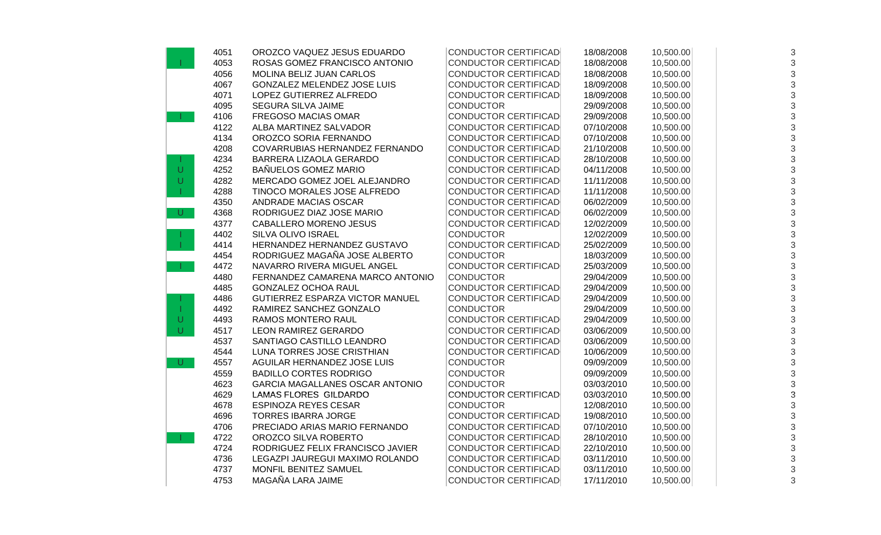|              | 4051 | OROZCO VAQUEZ JESUS EDUARDO      | <b>CONDUCTOR CERTIFICAD</b> | 18/08/2008 | 10,500.00 | 3 |
|--------------|------|----------------------------------|-----------------------------|------------|-----------|---|
| T.           | 4053 | ROSAS GOMEZ FRANCISCO ANTONIO    | <b>CONDUCTOR CERTIFICAD</b> | 18/08/2008 | 10,500.00 | 3 |
|              | 4056 | MOLINA BELIZ JUAN CARLOS         | <b>CONDUCTOR CERTIFICAD</b> | 18/08/2008 | 10,500.00 | 3 |
|              | 4067 | GONZALEZ MELENDEZ JOSE LUIS      | <b>CONDUCTOR CERTIFICAD</b> | 18/09/2008 | 10,500.00 | 3 |
|              | 4071 | LOPEZ GUTIERREZ ALFREDO          | <b>CONDUCTOR CERTIFICAD</b> | 18/09/2008 | 10,500.00 | 3 |
|              | 4095 | SEGURA SILVA JAIME               | <b>CONDUCTOR</b>            | 29/09/2008 | 10,500.00 | 3 |
|              | 4106 | FREGOSO MACIAS OMAR              | CONDUCTOR CERTIFICAD        | 29/09/2008 | 10,500.00 | 3 |
|              | 4122 | ALBA MARTINEZ SALVADOR           | <b>CONDUCTOR CERTIFICAD</b> | 07/10/2008 | 10,500.00 | 3 |
|              | 4134 | OROZCO SORIA FERNANDO            | <b>CONDUCTOR CERTIFICAD</b> | 07/10/2008 | 10,500.00 | 3 |
|              | 4208 | COVARRUBIAS HERNANDEZ FERNANDO   | <b>CONDUCTOR CERTIFICAD</b> | 21/10/2008 | 10,500.00 | 3 |
|              | 4234 | BARRERA LIZAOLA GERARDO          | <b>CONDUCTOR CERTIFICAD</b> | 28/10/2008 | 10,500.00 | 3 |
| U            | 4252 | BAÑUELOS GOMEZ MARIO             | <b>CONDUCTOR CERTIFICAD</b> | 04/11/2008 | 10,500.00 | 3 |
| U            | 4282 | MERCADO GOMEZ JOEL ALEJANDRO     | <b>CONDUCTOR CERTIFICAD</b> | 11/11/2008 | 10,500.00 | 3 |
| T.           | 4288 | TINOCO MORALES JOSE ALFREDO      | <b>CONDUCTOR CERTIFICAD</b> | 11/11/2008 | 10,500.00 | 3 |
|              | 4350 | ANDRADE MACIAS OSCAR             | <b>CONDUCTOR CERTIFICAD</b> | 06/02/2009 | 10,500.00 | 3 |
| $\cup$       | 4368 | RODRIGUEZ DIAZ JOSE MARIO        | <b>CONDUCTOR CERTIFICAD</b> | 06/02/2009 | 10,500.00 | 3 |
|              | 4377 | CABALLERO MORENO JESUS           | <b>CONDUCTOR CERTIFICAD</b> | 12/02/2009 | 10,500.00 | 3 |
|              | 4402 | SILVA OLIVO ISRAEL               | <b>CONDUCTOR</b>            | 12/02/2009 | 10,500.00 | 3 |
|              | 4414 | HERNANDEZ HERNANDEZ GUSTAVO      | <b>CONDUCTOR CERTIFICAD</b> | 25/02/2009 | 10,500.00 | 3 |
|              | 4454 | RODRIGUEZ MAGAÑA JOSE ALBERTO    | <b>CONDUCTOR</b>            | 18/03/2009 | 10,500.00 | 3 |
|              | 4472 | NAVARRO RIVERA MIGUEL ANGEL      | <b>CONDUCTOR CERTIFICAD</b> | 25/03/2009 | 10,500.00 | 3 |
|              | 4480 | FERNANDEZ CAMARENA MARCO ANTONIO | <b>CONDUCTOR</b>            | 29/04/2009 | 10,500.00 | 3 |
|              | 4485 | <b>GONZALEZ OCHOA RAUL</b>       | <b>CONDUCTOR CERTIFICAD</b> | 29/04/2009 | 10,500.00 | 3 |
|              | 4486 | GUTIERREZ ESPARZA VICTOR MANUEL  | CONDUCTOR CERTIFICAD        | 29/04/2009 | 10,500.00 | 3 |
| Т            | 4492 | RAMIREZ SANCHEZ GONZALO          | <b>CONDUCTOR</b>            | 29/04/2009 | 10,500.00 | 3 |
| $\mathsf{U}$ | 4493 | RAMOS MONTERO RAUL               | <b>CONDUCTOR CERTIFICAD</b> | 29/04/2009 | 10,500.00 | 3 |
| $\cup$       | 4517 | LEON RAMIREZ GERARDO             | <b>CONDUCTOR CERTIFICAD</b> | 03/06/2009 | 10,500.00 | 3 |
|              | 4537 | SANTIAGO CASTILLO LEANDRO        | <b>CONDUCTOR CERTIFICAD</b> | 03/06/2009 | 10,500.00 | 3 |
|              | 4544 | LUNA TORRES JOSE CRISTHIAN       | <b>CONDUCTOR CERTIFICAD</b> | 10/06/2009 | 10,500.00 | 3 |
| U.           | 4557 | AGUILAR HERNANDEZ JOSE LUIS      | <b>CONDUCTOR</b>            | 09/09/2009 | 10,500.00 | 3 |
|              | 4559 | <b>BADILLO CORTES RODRIGO</b>    | <b>CONDUCTOR</b>            | 09/09/2009 | 10,500.00 | 3 |
|              | 4623 | GARCIA MAGALLANES OSCAR ANTONIO  | <b>CONDUCTOR</b>            | 03/03/2010 | 10,500.00 | 3 |
|              | 4629 | LAMAS FLORES GILDARDO            | <b>CONDUCTOR CERTIFICAD</b> | 03/03/2010 | 10,500.00 | 3 |
|              | 4678 | <b>ESPINOZA REYES CESAR</b>      | <b>CONDUCTOR</b>            | 12/08/2010 | 10,500.00 | 3 |
|              | 4696 | <b>TORRES IBARRA JORGE</b>       | <b>CONDUCTOR CERTIFICAD</b> | 19/08/2010 | 10,500.00 | 3 |
|              | 4706 | PRECIADO ARIAS MARIO FERNANDO    | <b>CONDUCTOR CERTIFICAD</b> | 07/10/2010 | 10,500.00 | 3 |
|              | 4722 | OROZCO SILVA ROBERTO             | <b>CONDUCTOR CERTIFICAD</b> | 28/10/2010 | 10,500.00 | 3 |
|              | 4724 | RODRIGUEZ FELIX FRANCISCO JAVIER | <b>CONDUCTOR CERTIFICAD</b> | 22/10/2010 | 10,500.00 | 3 |
|              | 4736 | LEGAZPI JAUREGUI MAXIMO ROLANDO  | <b>CONDUCTOR CERTIFICAD</b> | 03/11/2010 | 10,500.00 | 3 |
|              | 4737 | MONFIL BENITEZ SAMUEL            | <b>CONDUCTOR CERTIFICAD</b> | 03/11/2010 | 10,500.00 | 3 |
|              | 4753 | MAGAÑA LARA JAIME                | <b>CONDUCTOR CERTIFICAD</b> | 17/11/2010 | 10,500.00 | 3 |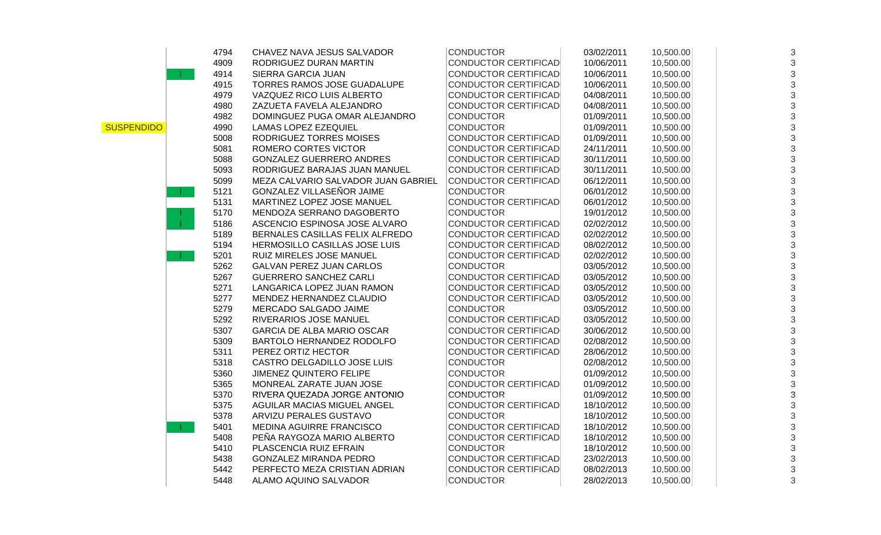|                   | 4794                        | CHAVEZ NAVA JESUS SALVADOR          | <b>CONDUCTOR</b>            | 03/02/2011 | 10,500.00 | 3 |
|-------------------|-----------------------------|-------------------------------------|-----------------------------|------------|-----------|---|
|                   | 4909                        | RODRIGUEZ DURAN MARTIN              | <b>CONDUCTOR CERTIFICAD</b> | 10/06/2011 | 10,500.00 | 3 |
|                   | 4914                        | SIERRA GARCIA JUAN                  | <b>CONDUCTOR CERTIFICAD</b> | 10/06/2011 | 10,500.00 | 3 |
|                   | 4915                        | TORRES RAMOS JOSE GUADALUPE         | <b>CONDUCTOR CERTIFICAD</b> | 10/06/2011 | 10,500.00 | 3 |
|                   | 4979                        | VAZQUEZ RICO LUIS ALBERTO           | <b>CONDUCTOR CERTIFICAD</b> | 04/08/2011 | 10,500.00 | 3 |
|                   | 4980                        | ZAZUETA FAVELA ALEJANDRO            | <b>CONDUCTOR CERTIFICAD</b> | 04/08/2011 | 10,500.00 |   |
|                   | 4982                        | DOMINGUEZ PUGA OMAR ALEJANDRO       | <b>CONDUCTOR</b>            | 01/09/2011 | 10,500.00 | 3 |
| <b>SUSPENDIDO</b> | 4990                        | <b>LAMAS LOPEZ EZEQUIEL</b>         | <b>CONDUCTOR</b>            | 01/09/2011 | 10,500.00 |   |
|                   | 5008                        | RODRIGUEZ TORRES MOISES             | <b>CONDUCTOR CERTIFICAD</b> | 01/09/2011 | 10,500.00 | 3 |
|                   | 5081                        | ROMERO CORTES VICTOR                | <b>CONDUCTOR CERTIFICAD</b> | 24/11/2011 | 10,500.00 | 3 |
|                   | 5088                        | <b>GONZALEZ GUERRERO ANDRES</b>     | <b>CONDUCTOR CERTIFICAD</b> | 30/11/2011 | 10,500.00 |   |
|                   | 5093                        | RODRIGUEZ BARAJAS JUAN MANUEL       | <b>CONDUCTOR CERTIFICAD</b> | 30/11/2011 | 10,500.00 | 3 |
|                   | 5099                        | MEZA CALVARIO SALVADOR JUAN GABRIEL | <b>CONDUCTOR CERTIFICAD</b> | 06/12/2011 | 10,500.00 | 3 |
|                   | 5121<br><b>The Contract</b> | GONZALEZ VILLASEÑOR JAIME           | <b>CONDUCTOR</b>            | 06/01/2012 | 10,500.00 | 3 |
|                   | 5131                        | MARTINEZ LOPEZ JOSE MANUEL          | <b>CONDUCTOR CERTIFICAD</b> | 06/01/2012 | 10,500.00 | 3 |
|                   | 5170                        | MENDOZA SERRANO DAGOBERTO           | <b>CONDUCTOR</b>            | 19/01/2012 | 10,500.00 |   |
|                   | 5186                        | ASCENCIO ESPINOSA JOSE ALVARO       | <b>CONDUCTOR CERTIFICAD</b> | 02/02/2012 | 10,500.00 |   |
|                   | 5189                        | BERNALES CASILLAS FELIX ALFREDO     | <b>CONDUCTOR CERTIFICAD</b> | 02/02/2012 | 10,500.00 | 3 |
|                   | 5194                        | HERMOSILLO CASILLAS JOSE LUIS       | <b>CONDUCTOR CERTIFICAD</b> | 08/02/2012 | 10,500.00 |   |
|                   | 5201                        | RUIZ MIRELES JOSE MANUEL            | <b>CONDUCTOR CERTIFICAD</b> | 02/02/2012 | 10,500.00 | 3 |
|                   | 5262                        | <b>GALVAN PEREZ JUAN CARLOS</b>     | <b>CONDUCTOR</b>            | 03/05/2012 | 10,500.00 | 3 |
|                   | 5267                        | <b>GUERRERO SANCHEZ CARLI</b>       | <b>CONDUCTOR CERTIFICAD</b> | 03/05/2012 | 10,500.00 | 3 |
|                   | 5271                        | LANGARICA LOPEZ JUAN RAMON          | <b>CONDUCTOR CERTIFICAD</b> | 03/05/2012 | 10,500.00 | 3 |
|                   | 5277                        | MENDEZ HERNANDEZ CLAUDIO            | <b>CONDUCTOR CERTIFICAD</b> | 03/05/2012 | 10,500.00 | 3 |
|                   | 5279                        | MERCADO SALGADO JAIME               | <b>CONDUCTOR</b>            | 03/05/2012 | 10,500.00 | 3 |
|                   | 5292                        | RIVERARIOS JOSE MANUEL              | <b>CONDUCTOR CERTIFICAD</b> | 03/05/2012 | 10,500.00 | 3 |
|                   | 5307                        | <b>GARCIA DE ALBA MARIO OSCAR</b>   | <b>CONDUCTOR CERTIFICAD</b> | 30/06/2012 | 10,500.00 |   |
|                   | 5309                        | BARTOLO HERNANDEZ RODOLFO           | <b>CONDUCTOR CERTIFICAD</b> | 02/08/2012 | 10,500.00 |   |
|                   | 5311                        | PEREZ ORTIZ HECTOR                  | <b>CONDUCTOR CERTIFICAD</b> | 28/06/2012 | 10,500.00 | 3 |
|                   | 5318                        | CASTRO DELGADILLO JOSE LUIS         | <b>CONDUCTOR</b>            | 02/08/2012 | 10,500.00 | 3 |
|                   | 5360                        | JIMENEZ QUINTERO FELIPE             | <b>CONDUCTOR</b>            | 01/09/2012 | 10,500.00 | 3 |
|                   | 5365                        | MONREAL ZARATE JUAN JOSE            | <b>CONDUCTOR CERTIFICAD</b> | 01/09/2012 | 10,500.00 |   |
|                   | 5370                        | RIVERA QUEZADA JORGE ANTONIO        | <b>CONDUCTOR</b>            | 01/09/2012 | 10,500.00 | 3 |
|                   | 5375                        | AGUILAR MACIAS MIGUEL ANGEL         | <b>CONDUCTOR CERTIFICAD</b> | 18/10/2012 | 10,500.00 | 3 |
|                   | 5378                        | ARVIZU PERALES GUSTAVO              | <b>CONDUCTOR</b>            | 18/10/2012 | 10,500.00 | 3 |
|                   | 5401                        | MEDINA AGUIRRE FRANCISCO            | <b>CONDUCTOR CERTIFICAD</b> | 18/10/2012 | 10,500.00 | 3 |
|                   | 5408                        | PEÑA RAYGOZA MARIO ALBERTO          | <b>CONDUCTOR CERTIFICAD</b> | 18/10/2012 | 10,500.00 | 3 |
|                   | 5410                        | PLASCENCIA RUIZ EFRAIN              | <b>CONDUCTOR</b>            | 18/10/2012 | 10,500.00 |   |
|                   | 5438                        | GONZALEZ MIRANDA PEDRO              | <b>CONDUCTOR CERTIFICAD</b> | 23/02/2013 | 10,500.00 | 3 |
|                   | 5442                        | PERFECTO MEZA CRISTIAN ADRIAN       | <b>CONDUCTOR CERTIFICAD</b> | 08/02/2013 | 10,500.00 |   |
|                   | 5448                        | ALAMO AQUINO SALVADOR               | <b>CONDUCTOR</b>            | 28/02/2013 | 10,500.00 | 3 |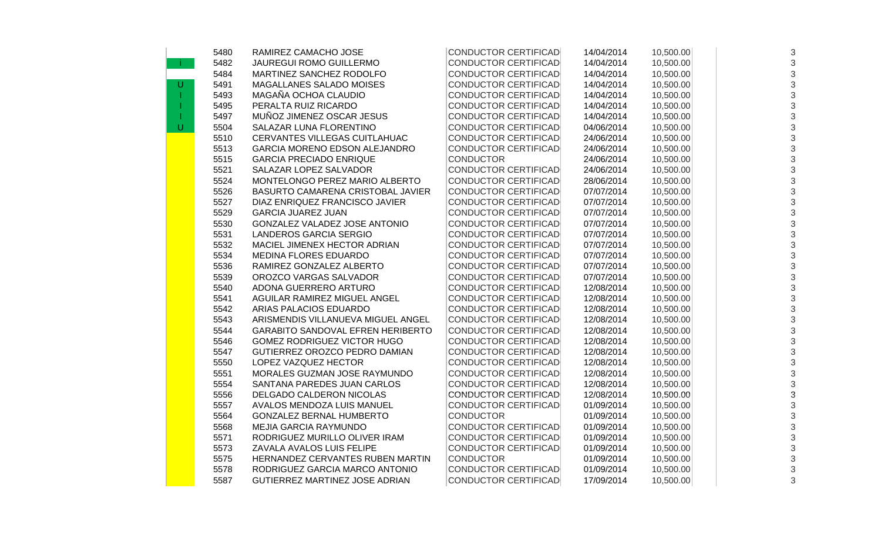|   | 5480 | RAMIREZ CAMACHO JOSE               | <b>CONDUCTOR CERTIFICAD</b> | 14/04/2014 | 10,500.00 | 3 |
|---|------|------------------------------------|-----------------------------|------------|-----------|---|
|   | 5482 | <b>JAUREGUI ROMO GUILLERMO</b>     | <b>CONDUCTOR CERTIFICAD</b> | 14/04/2014 | 10,500.00 | 3 |
|   | 5484 | MARTINEZ SANCHEZ RODOLFO           | <b>CONDUCTOR CERTIFICAD</b> | 14/04/2014 | 10,500.00 | 3 |
| U | 5491 | <b>MAGALLANES SALADO MOISES</b>    | <b>CONDUCTOR CERTIFICAD</b> | 14/04/2014 | 10,500.00 | 3 |
|   | 5493 | MAGAÑA OCHOA CLAUDIO               | <b>CONDUCTOR CERTIFICAD</b> | 14/04/2014 | 10,500.00 | 3 |
|   | 5495 | PERALTA RUIZ RICARDO               | <b>CONDUCTOR CERTIFICAD</b> | 14/04/2014 | 10,500.00 | 3 |
|   | 5497 | MUÑOZ JIMENEZ OSCAR JESUS          | <b>CONDUCTOR CERTIFICAD</b> | 14/04/2014 | 10,500.00 | 3 |
| U | 5504 | SALAZAR LUNA FLORENTINO            | <b>CONDUCTOR CERTIFICAD</b> | 04/06/2014 | 10,500.00 | 3 |
|   | 5510 | CERVANTES VILLEGAS CUITLAHUAC      | <b>CONDUCTOR CERTIFICAD</b> | 24/06/2014 | 10,500.00 | 3 |
|   | 5513 | GARCIA MORENO EDSON ALEJANDRO      | <b>CONDUCTOR CERTIFICAD</b> | 24/06/2014 | 10,500.00 | 3 |
|   | 5515 | <b>GARCIA PRECIADO ENRIQUE</b>     | <b>CONDUCTOR</b>            | 24/06/2014 | 10,500.00 | 3 |
|   | 5521 | SALAZAR LOPEZ SALVADOR             | <b>CONDUCTOR CERTIFICAD</b> | 24/06/2014 | 10,500.00 | 3 |
|   | 5524 | MONTELONGO PEREZ MARIO ALBERTO     | <b>CONDUCTOR CERTIFICAD</b> | 28/06/2014 | 10,500.00 | 3 |
|   | 5526 | BASURTO CAMARENA CRISTOBAL JAVIER  | <b>CONDUCTOR CERTIFICAD</b> | 07/07/2014 | 10,500.00 | 3 |
|   | 5527 | DIAZ ENRIQUEZ FRANCISCO JAVIER     | <b>CONDUCTOR CERTIFICAD</b> | 07/07/2014 | 10,500.00 | 3 |
|   | 5529 | <b>GARCIA JUAREZ JUAN</b>          | <b>CONDUCTOR CERTIFICAD</b> | 07/07/2014 | 10,500.00 | 3 |
|   | 5530 | GONZALEZ VALADEZ JOSE ANTONIO      | <b>CONDUCTOR CERTIFICAD</b> | 07/07/2014 | 10,500.00 | 3 |
|   | 5531 | <b>LANDEROS GARCIA SERGIO</b>      | <b>CONDUCTOR CERTIFICAD</b> | 07/07/2014 | 10,500.00 | 3 |
|   | 5532 | MACIEL JIMENEX HECTOR ADRIAN       | <b>CONDUCTOR CERTIFICAD</b> | 07/07/2014 | 10,500.00 | 3 |
|   | 5534 | <b>MEDINA FLORES EDUARDO</b>       | <b>CONDUCTOR CERTIFICAD</b> | 07/07/2014 | 10,500.00 | 3 |
|   | 5536 | RAMIREZ GONZALEZ ALBERTO           | <b>CONDUCTOR CERTIFICAD</b> | 07/07/2014 | 10,500.00 | 3 |
|   | 5539 | OROZCO VARGAS SALVADOR             | <b>CONDUCTOR CERTIFICAD</b> | 07/07/2014 | 10,500.00 | 3 |
|   | 5540 | ADONA GUERRERO ARTURO              | <b>CONDUCTOR CERTIFICAD</b> | 12/08/2014 | 10,500.00 | 3 |
|   | 5541 | AGUILAR RAMIREZ MIGUEL ANGEL       | <b>CONDUCTOR CERTIFICAD</b> | 12/08/2014 | 10,500.00 | 3 |
|   | 5542 | ARIAS PALACIOS EDUARDO             | <b>CONDUCTOR CERTIFICAD</b> | 12/08/2014 | 10,500.00 | 3 |
|   | 5543 | ARISMENDIS VILLANUEVA MIGUEL ANGEL | <b>CONDUCTOR CERTIFICAD</b> | 12/08/2014 | 10,500.00 | 3 |
|   | 5544 | GARABITO SANDOVAL EFREN HERIBERTO  | <b>CONDUCTOR CERTIFICAD</b> | 12/08/2014 | 10,500.00 | 3 |
|   | 5546 | GOMEZ RODRIGUEZ VICTOR HUGO        | <b>CONDUCTOR CERTIFICAD</b> | 12/08/2014 | 10,500.00 | 3 |
|   | 5547 | GUTIERREZ OROZCO PEDRO DAMIAN      | <b>CONDUCTOR CERTIFICAD</b> | 12/08/2014 | 10,500.00 | 3 |
|   | 5550 | LOPEZ VAZQUEZ HECTOR               | <b>CONDUCTOR CERTIFICAD</b> | 12/08/2014 | 10,500.00 | 3 |
|   | 5551 | MORALES GUZMAN JOSE RAYMUNDO       | <b>CONDUCTOR CERTIFICAD</b> | 12/08/2014 | 10,500.00 | 3 |
|   | 5554 | SANTANA PAREDES JUAN CARLOS        | <b>CONDUCTOR CERTIFICAD</b> | 12/08/2014 | 10,500.00 | 3 |
|   | 5556 | DELGADO CALDERON NICOLAS           | <b>CONDUCTOR CERTIFICAD</b> | 12/08/2014 | 10,500.00 | 3 |
|   | 5557 | AVALOS MENDOZA LUIS MANUEL         | <b>CONDUCTOR CERTIFICAD</b> | 01/09/2014 | 10,500.00 | 3 |
|   | 5564 | <b>GONZALEZ BERNAL HUMBERTO</b>    | <b>CONDUCTOR</b>            | 01/09/2014 | 10,500.00 | 3 |
|   | 5568 | <b>MEJIA GARCIA RAYMUNDO</b>       | <b>CONDUCTOR CERTIFICAD</b> | 01/09/2014 | 10,500.00 | 3 |
|   | 5571 | RODRIGUEZ MURILLO OLIVER IRAM      | <b>CONDUCTOR CERTIFICAD</b> | 01/09/2014 | 10,500.00 | 3 |
|   | 5573 | ZAVALA AVALOS LUIS FELIPE          | <b>CONDUCTOR CERTIFICAD</b> | 01/09/2014 | 10,500.00 | 3 |
|   | 5575 | HERNANDEZ CERVANTES RUBEN MARTIN   | <b>CONDUCTOR</b>            | 01/09/2014 | 10,500.00 | 3 |
|   | 5578 | RODRIGUEZ GARCIA MARCO ANTONIO     | <b>CONDUCTOR CERTIFICAD</b> | 01/09/2014 | 10,500.00 | 3 |
|   | 5587 | GUTIERREZ MARTINEZ JOSE ADRIAN     | <b>CONDUCTOR CERTIFICAD</b> | 17/09/2014 | 10,500.00 | 3 |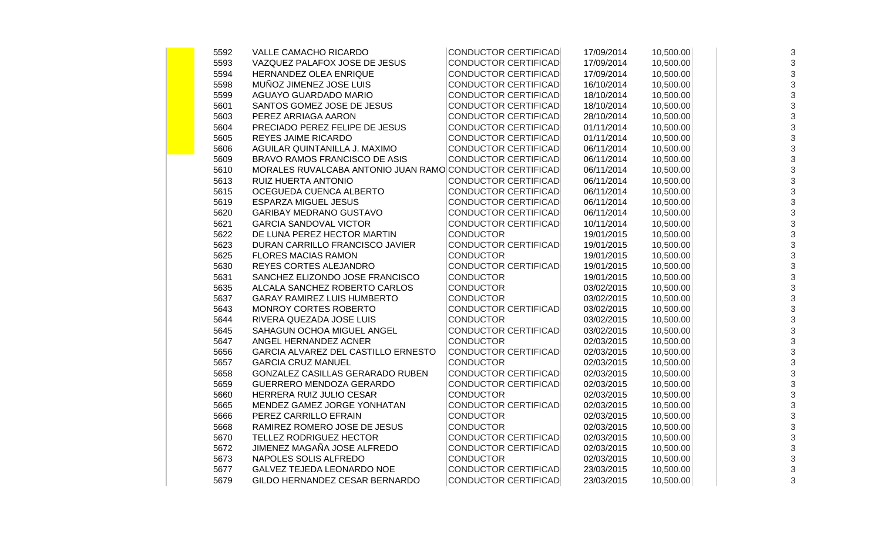| 5592 | VALLE CAMACHO RICARDO                                    | <b>CONDUCTOR CERTIFICAD</b> | 17/09/2014 | 10,500.00 | 3                         |
|------|----------------------------------------------------------|-----------------------------|------------|-----------|---------------------------|
| 5593 | VAZQUEZ PALAFOX JOSE DE JESUS                            | <b>CONDUCTOR CERTIFICAD</b> | 17/09/2014 | 10,500.00 | $\sqrt{3}$                |
| 5594 | HERNANDEZ OLEA ENRIQUE                                   | <b>CONDUCTOR CERTIFICAD</b> | 17/09/2014 | 10,500.00 | $\sqrt{3}$                |
| 5598 | MUÑOZ JIMENEZ JOSE LUIS                                  | <b>CONDUCTOR CERTIFICAD</b> | 16/10/2014 | 10,500.00 | 3                         |
| 5599 | AGUAYO GUARDADO MARIO                                    | <b>CONDUCTOR CERTIFICAD</b> | 18/10/2014 | 10,500.00 | 3                         |
| 5601 | SANTOS GOMEZ JOSE DE JESUS                               | <b>CONDUCTOR CERTIFICAD</b> | 18/10/2014 | 10,500.00 | 3                         |
| 5603 | PEREZ ARRIAGA AARON                                      | <b>CONDUCTOR CERTIFICAD</b> | 28/10/2014 | 10,500.00 | 3                         |
| 5604 | PRECIADO PEREZ FELIPE DE JESUS                           | <b>CONDUCTOR CERTIFICAD</b> | 01/11/2014 | 10,500.00 | 3                         |
| 5605 | <b>REYES JAIME RICARDO</b>                               | <b>CONDUCTOR CERTIFICAD</b> | 01/11/2014 | 10,500.00 | 3                         |
| 5606 | AGUILAR QUINTANILLA J. MAXIMO                            | <b>CONDUCTOR CERTIFICAD</b> | 06/11/2014 | 10,500.00 | 3                         |
| 5609 | BRAVO RAMOS FRANCISCO DE ASIS                            | <b>CONDUCTOR CERTIFICAD</b> | 06/11/2014 | 10,500.00 | 3                         |
| 5610 | MORALES RUVALCABA ANTONIO JUAN RAMO CONDUCTOR CERTIFICAD |                             | 06/11/2014 | 10,500.00 | $\mathsf 3$               |
| 5613 | RUIZ HUERTA ANTONIO                                      | <b>CONDUCTOR CERTIFICAD</b> | 06/11/2014 | 10,500.00 | 3                         |
| 5615 | OCEGUEDA CUENCA ALBERTO                                  | <b>CONDUCTOR CERTIFICAD</b> | 06/11/2014 | 10,500.00 | 3                         |
| 5619 | <b>ESPARZA MIGUEL JESUS</b>                              | <b>CONDUCTOR CERTIFICAD</b> | 06/11/2014 | 10,500.00 | 3                         |
| 5620 | <b>GARIBAY MEDRANO GUSTAVO</b>                           | <b>CONDUCTOR CERTIFICAD</b> | 06/11/2014 | 10,500.00 | 3                         |
| 5621 | <b>GARCIA SANDOVAL VICTOR</b>                            | <b>CONDUCTOR CERTIFICAD</b> | 10/11/2014 | 10,500.00 | 3                         |
| 5622 | DE LUNA PEREZ HECTOR MARTIN                              | <b>CONDUCTOR</b>            | 19/01/2015 | 10,500.00 | 3                         |
| 5623 | DURAN CARRILLO FRANCISCO JAVIER                          | <b>CONDUCTOR CERTIFICAD</b> | 19/01/2015 | 10,500.00 | 3                         |
| 5625 | <b>FLORES MACIAS RAMON</b>                               | <b>CONDUCTOR</b>            | 19/01/2015 | 10,500.00 | 3                         |
| 5630 | REYES CORTES ALEJANDRO                                   | <b>CONDUCTOR CERTIFICAD</b> | 19/01/2015 | 10,500.00 | 3                         |
| 5631 | SANCHEZ ELIZONDO JOSE FRANCISCO                          | <b>CONDUCTOR</b>            | 19/01/2015 | 10,500.00 | 3                         |
| 5635 | ALCALA SANCHEZ ROBERTO CARLOS                            | <b>CONDUCTOR</b>            | 03/02/2015 | 10,500.00 | 3                         |
| 5637 | <b>GARAY RAMIREZ LUIS HUMBERTO</b>                       | <b>CONDUCTOR</b>            | 03/02/2015 | 10,500.00 | 3                         |
| 5643 | MONROY CORTES ROBERTO                                    | <b>CONDUCTOR CERTIFICAD</b> | 03/02/2015 | 10,500.00 | 3                         |
| 5644 | RIVERA QUEZADA JOSE LUIS                                 | <b>CONDUCTOR</b>            | 03/02/2015 | 10,500.00 | 3                         |
| 5645 | SAHAGUN OCHOA MIGUEL ANGEL                               | <b>CONDUCTOR CERTIFICAD</b> | 03/02/2015 | 10,500.00 | 3                         |
| 5647 | ANGEL HERNANDEZ ACNER                                    | <b>CONDUCTOR</b>            | 02/03/2015 | 10,500.00 | 3                         |
| 5656 | GARCIA ALVAREZ DEL CASTILLO ERNESTO                      | <b>CONDUCTOR CERTIFICAD</b> | 02/03/2015 | 10,500.00 | 3                         |
| 5657 | <b>GARCIA CRUZ MANUEL</b>                                | <b>CONDUCTOR</b>            | 02/03/2015 | 10,500.00 | 3                         |
| 5658 | GONZALEZ CASILLAS GERARADO RUBEN                         | <b>CONDUCTOR CERTIFICAD</b> | 02/03/2015 | 10,500.00 | 3                         |
| 5659 | GUERRERO MENDOZA GERARDO                                 | <b>CONDUCTOR CERTIFICAD</b> | 02/03/2015 | 10,500.00 | 3                         |
| 5660 | HERRERA RUIZ JULIO CESAR                                 | <b>CONDUCTOR</b>            | 02/03/2015 | 10,500.00 | 3                         |
| 5665 | MENDEZ GAMEZ JORGE YONHATAN                              | <b>CONDUCTOR CERTIFICAD</b> | 02/03/2015 | 10,500.00 | $\ensuremath{\mathsf{3}}$ |
| 5666 | PEREZ CARRILLO EFRAIN                                    | <b>CONDUCTOR</b>            | 02/03/2015 | 10,500.00 | 3                         |
| 5668 | RAMIREZ ROMERO JOSE DE JESUS                             | <b>CONDUCTOR</b>            | 02/03/2015 | 10,500.00 | 3                         |
| 5670 | TELLEZ RODRIGUEZ HECTOR                                  | <b>CONDUCTOR CERTIFICAD</b> | 02/03/2015 | 10,500.00 | 3                         |
| 5672 | JIMENEZ MAGAÑA JOSE ALFREDO                              | <b>CONDUCTOR CERTIFICAD</b> | 02/03/2015 | 10,500.00 | 3                         |
| 5673 | NAPOLES SOLIS ALFREDO                                    | <b>CONDUCTOR</b>            | 02/03/2015 | 10,500.00 | 3                         |
| 5677 | GALVEZ TEJEDA LEONARDO NOE                               | <b>CONDUCTOR CERTIFICAD</b> | 23/03/2015 | 10,500.00 | 3                         |
| 5679 | GILDO HERNANDEZ CESAR BERNARDO                           | <b>CONDUCTOR CERTIFICAD</b> | 23/03/2015 | 10,500.00 | 3                         |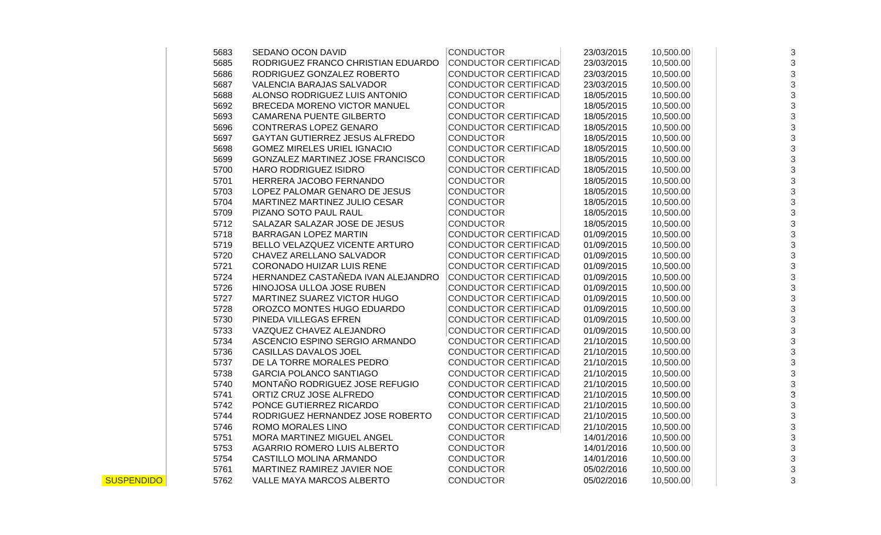|                | 5683 | SEDANO OCON DAVID                  | <b>CONDUCTOR</b>            | 23/03/2015 | 10,500.00 | 3 |
|----------------|------|------------------------------------|-----------------------------|------------|-----------|---|
|                | 5685 | RODRIGUEZ FRANCO CHRISTIAN EDUARDO | <b>CONDUCTOR CERTIFICAD</b> | 23/03/2015 | 10,500.00 | 3 |
|                | 5686 | RODRIGUEZ GONZALEZ ROBERTO         | <b>CONDUCTOR CERTIFICAD</b> | 23/03/2015 | 10,500.00 | 3 |
|                | 5687 | <b>VALENCIA BARAJAS SALVADOR</b>   | <b>CONDUCTOR CERTIFICAD</b> | 23/03/2015 | 10,500.00 | 3 |
|                | 5688 | ALONSO RODRIGUEZ LUIS ANTONIO      | <b>CONDUCTOR CERTIFICAD</b> | 18/05/2015 | 10,500.00 | 3 |
|                | 5692 | BRECEDA MORENO VICTOR MANUEL       | <b>CONDUCTOR</b>            | 18/05/2015 | 10,500.00 | 3 |
|                | 5693 | <b>CAMARENA PUENTE GILBERTO</b>    | CONDUCTOR CERTIFICAD        | 18/05/2015 | 10,500.00 | 3 |
|                | 5696 | CONTRERAS LOPEZ GENARO             | <b>CONDUCTOR CERTIFICAD</b> | 18/05/2015 | 10,500.00 | 3 |
|                | 5697 | GAYTAN GUTIERREZ JESUS ALFREDO     | <b>CONDUCTOR</b>            | 18/05/2015 | 10,500.00 | 3 |
|                | 5698 | <b>GOMEZ MIRELES URIEL IGNACIO</b> | CONDUCTOR CERTIFICAD        | 18/05/2015 | 10,500.00 | 3 |
|                | 5699 | GONZALEZ MARTINEZ JOSE FRANCISCO   | <b>CONDUCTOR</b>            | 18/05/2015 | 10,500.00 | 3 |
|                | 5700 | <b>HARO RODRIGUEZ ISIDRO</b>       | <b>CONDUCTOR CERTIFICAD</b> | 18/05/2015 | 10,500.00 | 3 |
|                | 5701 | HERRERA JACOBO FERNANDO            | <b>CONDUCTOR</b>            | 18/05/2015 | 10,500.00 | 3 |
|                | 5703 | LOPEZ PALOMAR GENARO DE JESUS      | <b>CONDUCTOR</b>            | 18/05/2015 | 10,500.00 | 3 |
|                | 5704 | MARTINEZ MARTINEZ JULIO CESAR      | <b>CONDUCTOR</b>            | 18/05/2015 | 10,500.00 | 3 |
|                | 5709 | PIZANO SOTO PAUL RAUL              | <b>CONDUCTOR</b>            | 18/05/2015 | 10,500.00 | 3 |
|                | 5712 | SALAZAR SALAZAR JOSE DE JESUS      | <b>CONDUCTOR</b>            | 18/05/2015 | 10,500.00 | 3 |
|                | 5718 | BARRAGAN LOPEZ MARTIN              | <b>CONDUCTOR CERTIFICAD</b> | 01/09/2015 | 10,500.00 | 3 |
|                | 5719 | BELLO VELAZQUEZ VICENTE ARTURO     | <b>CONDUCTOR CERTIFICAD</b> | 01/09/2015 | 10,500.00 | 3 |
|                | 5720 | CHAVEZ ARELLANO SALVADOR           | <b>CONDUCTOR CERTIFICAD</b> | 01/09/2015 | 10,500.00 | 3 |
|                | 5721 | CORONADO HUIZAR LUIS RENE          | <b>CONDUCTOR CERTIFICAD</b> | 01/09/2015 | 10,500.00 | 3 |
|                | 5724 | HERNANDEZ CASTAÑEDA IVAN ALEJANDRO | CONDUCTOR CERTIFICAD        | 01/09/2015 | 10,500.00 | 3 |
|                | 5726 | HINOJOSA ULLOA JOSE RUBEN          | <b>CONDUCTOR CERTIFICAD</b> | 01/09/2015 | 10,500.00 | 3 |
|                | 5727 | MARTINEZ SUAREZ VICTOR HUGO        | <b>CONDUCTOR CERTIFICAD</b> | 01/09/2015 | 10,500.00 | 3 |
|                | 5728 | OROZCO MONTES HUGO EDUARDO         | <b>CONDUCTOR CERTIFICAD</b> | 01/09/2015 | 10,500.00 | 3 |
|                | 5730 | PINEDA VILLEGAS EFREN              | <b>CONDUCTOR CERTIFICAD</b> | 01/09/2015 | 10,500.00 | 3 |
|                | 5733 | VAZQUEZ CHAVEZ ALEJANDRO           | <b>CONDUCTOR CERTIFICAD</b> | 01/09/2015 | 10,500.00 | 3 |
|                | 5734 | ASCENCIO ESPINO SERGIO ARMANDO     | <b>CONDUCTOR CERTIFICAD</b> | 21/10/2015 | 10,500.00 | 3 |
|                | 5736 | CASILLAS DAVALOS JOEL              | <b>CONDUCTOR CERTIFICAD</b> | 21/10/2015 | 10,500.00 | 3 |
|                | 5737 | DE LA TORRE MORALES PEDRO          | <b>CONDUCTOR CERTIFICAD</b> | 21/10/2015 | 10,500.00 | 3 |
|                | 5738 | <b>GARCIA POLANCO SANTIAGO</b>     | <b>CONDUCTOR CERTIFICAD</b> | 21/10/2015 | 10,500.00 | 3 |
|                | 5740 | MONTAÑO RODRIGUEZ JOSE REFUGIO     | <b>CONDUCTOR CERTIFICAD</b> | 21/10/2015 | 10,500.00 | 3 |
|                | 5741 | ORTIZ CRUZ JOSE ALFREDO            | <b>CONDUCTOR CERTIFICAD</b> | 21/10/2015 | 10,500.00 | 3 |
|                | 5742 | PONCE GUTIERREZ RICARDO            | <b>CONDUCTOR CERTIFICAD</b> | 21/10/2015 | 10,500.00 | 3 |
|                | 5744 | RODRIGUEZ HERNANDEZ JOSE ROBERTO   | <b>CONDUCTOR CERTIFICAD</b> | 21/10/2015 | 10,500.00 | 3 |
|                | 5746 | ROMO MORALES LINO                  | <b>CONDUCTOR CERTIFICAD</b> | 21/10/2015 | 10,500.00 | 3 |
|                | 5751 | MORA MARTINEZ MIGUEL ANGEL         | <b>CONDUCTOR</b>            | 14/01/2016 | 10,500.00 | 3 |
|                | 5753 | AGARRIO ROMERO LUIS ALBERTO        | <b>CONDUCTOR</b>            | 14/01/2016 | 10,500.00 | 3 |
|                | 5754 | CASTILLO MOLINA ARMANDO            | <b>CONDUCTOR</b>            | 14/01/2016 | 10,500.00 | 3 |
|                | 5761 | MARTINEZ RAMIREZ JAVIER NOE        | <b>CONDUCTOR</b>            | 05/02/2016 | 10,500.00 | 3 |
| $\overline{O}$ | 5762 | VALLE MAYA MARCOS ALBERTO          | <b>CONDUCTOR</b>            | 05/02/2016 | 10,500.00 | 3 |
|                |      |                                    |                             |            |           |   |

**SUSPENDIDO**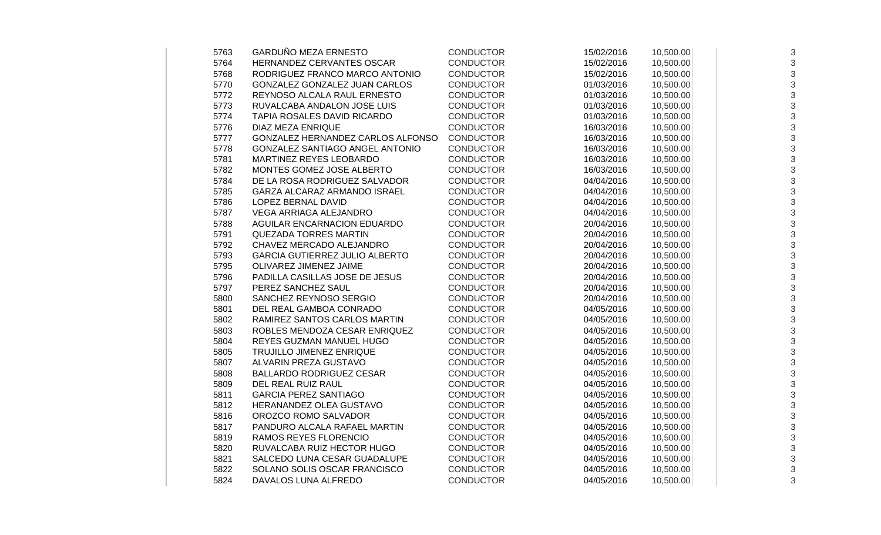| 5763 | GARDUÑO MEZA ERNESTO                  | <b>CONDUCTOR</b> | 15/02/2016 | 10,500.00 | 3                         |
|------|---------------------------------------|------------------|------------|-----------|---------------------------|
| 5764 | HERNANDEZ CERVANTES OSCAR             | <b>CONDUCTOR</b> | 15/02/2016 | 10,500.00 | 3                         |
| 5768 | RODRIGUEZ FRANCO MARCO ANTONIO        | <b>CONDUCTOR</b> | 15/02/2016 | 10,500.00 | 3                         |
| 5770 | GONZALEZ GONZALEZ JUAN CARLOS         | <b>CONDUCTOR</b> | 01/03/2016 | 10,500.00 | 3                         |
| 5772 | REYNOSO ALCALA RAUL ERNESTO           | <b>CONDUCTOR</b> | 01/03/2016 | 10,500.00 | 3                         |
| 5773 | RUVALCABA ANDALON JOSE LUIS           | <b>CONDUCTOR</b> | 01/03/2016 | 10,500.00 | 3                         |
| 5774 | TAPIA ROSALES DAVID RICARDO           | <b>CONDUCTOR</b> | 01/03/2016 | 10,500.00 | 3                         |
| 5776 | DIAZ MEZA ENRIQUE                     | <b>CONDUCTOR</b> | 16/03/2016 | 10,500.00 | 3                         |
| 5777 | GONZALEZ HERNANDEZ CARLOS ALFONSO     | <b>CONDUCTOR</b> | 16/03/2016 | 10,500.00 | 3                         |
| 5778 | GONZALEZ SANTIAGO ANGEL ANTONIO       | <b>CONDUCTOR</b> | 16/03/2016 | 10,500.00 | 3                         |
| 5781 | MARTINEZ REYES LEOBARDO               | <b>CONDUCTOR</b> | 16/03/2016 | 10,500.00 | 3                         |
| 5782 | MONTES GOMEZ JOSE ALBERTO             | <b>CONDUCTOR</b> | 16/03/2016 | 10,500.00 | 3                         |
| 5784 | DE LA ROSA RODRIGUEZ SALVADOR         | <b>CONDUCTOR</b> | 04/04/2016 | 10,500.00 | $\sqrt{3}$                |
| 5785 | GARZA ALCARAZ ARMANDO ISRAEL          | <b>CONDUCTOR</b> | 04/04/2016 | 10,500.00 | 3                         |
| 5786 | LOPEZ BERNAL DAVID                    | <b>CONDUCTOR</b> | 04/04/2016 | 10,500.00 | 3                         |
| 5787 | VEGA ARRIAGA ALEJANDRO                | <b>CONDUCTOR</b> | 04/04/2016 | 10,500.00 | 3                         |
| 5788 | AGUILAR ENCARNACION EDUARDO           | <b>CONDUCTOR</b> | 20/04/2016 | 10,500.00 | 3                         |
| 5791 | <b>QUEZADA TORRES MARTIN</b>          | <b>CONDUCTOR</b> | 20/04/2016 | 10,500.00 | 3                         |
| 5792 | CHAVEZ MERCADO ALEJANDRO              | <b>CONDUCTOR</b> | 20/04/2016 | 10,500.00 | 3                         |
| 5793 | <b>GARCIA GUTIERREZ JULIO ALBERTO</b> | <b>CONDUCTOR</b> | 20/04/2016 | 10,500.00 | 3                         |
| 5795 | OLIVAREZ JIMENEZ JAIME                | <b>CONDUCTOR</b> | 20/04/2016 | 10,500.00 | 3                         |
| 5796 | PADILLA CASILLAS JOSE DE JESUS        | <b>CONDUCTOR</b> | 20/04/2016 | 10,500.00 | 3                         |
| 5797 | PEREZ SANCHEZ SAUL                    | <b>CONDUCTOR</b> | 20/04/2016 | 10,500.00 | $\sqrt{3}$                |
| 5800 | SANCHEZ REYNOSO SERGIO                | <b>CONDUCTOR</b> | 20/04/2016 | 10,500.00 | 3                         |
| 5801 | DEL REAL GAMBOA CONRADO               | <b>CONDUCTOR</b> | 04/05/2016 | 10,500.00 | 3                         |
| 5802 | RAMIREZ SANTOS CARLOS MARTIN          | <b>CONDUCTOR</b> | 04/05/2016 | 10,500.00 | 3                         |
| 5803 | ROBLES MENDOZA CESAR ENRIQUEZ         | <b>CONDUCTOR</b> | 04/05/2016 | 10,500.00 | 3                         |
| 5804 | REYES GUZMAN MANUEL HUGO              | <b>CONDUCTOR</b> | 04/05/2016 | 10,500.00 | 3                         |
| 5805 | TRUJILLO JIMENEZ ENRIQUE              | <b>CONDUCTOR</b> | 04/05/2016 | 10,500.00 | 3                         |
| 5807 | ALVARIN PREZA GUSTAVO                 | <b>CONDUCTOR</b> | 04/05/2016 | 10,500.00 | 3                         |
| 5808 | <b>BALLARDO RODRIGUEZ CESAR</b>       | <b>CONDUCTOR</b> | 04/05/2016 | 10,500.00 | 3                         |
| 5809 | DEL REAL RUIZ RAUL                    | <b>CONDUCTOR</b> | 04/05/2016 | 10,500.00 | 3                         |
| 5811 | <b>GARCIA PEREZ SANTIAGO</b>          | <b>CONDUCTOR</b> | 04/05/2016 | 10,500.00 | 3                         |
| 5812 | HERANANDEZ OLEA GUSTAVO               | <b>CONDUCTOR</b> | 04/05/2016 | 10,500.00 | $\ensuremath{\mathsf{3}}$ |
| 5816 | OROZCO ROMO SALVADOR                  | <b>CONDUCTOR</b> | 04/05/2016 | 10,500.00 | 3                         |
| 5817 | PANDURO ALCALA RAFAEL MARTIN          | <b>CONDUCTOR</b> | 04/05/2016 | 10,500.00 | 3                         |
| 5819 | RAMOS REYES FLORENCIO                 | <b>CONDUCTOR</b> | 04/05/2016 | 10,500.00 | 3                         |
| 5820 | RUVALCABA RUIZ HECTOR HUGO            | <b>CONDUCTOR</b> | 04/05/2016 | 10,500.00 | 3                         |
| 5821 | SALCEDO LUNA CESAR GUADALUPE          | <b>CONDUCTOR</b> | 04/05/2016 | 10,500.00 | 3                         |
| 5822 | SOLANO SOLIS OSCAR FRANCISCO          | <b>CONDUCTOR</b> | 04/05/2016 | 10,500.00 | 3                         |
| 5824 | DAVALOS LUNA ALFREDO                  | <b>CONDUCTOR</b> | 04/05/2016 | 10,500.00 | 3                         |
|      |                                       |                  |            |           |                           |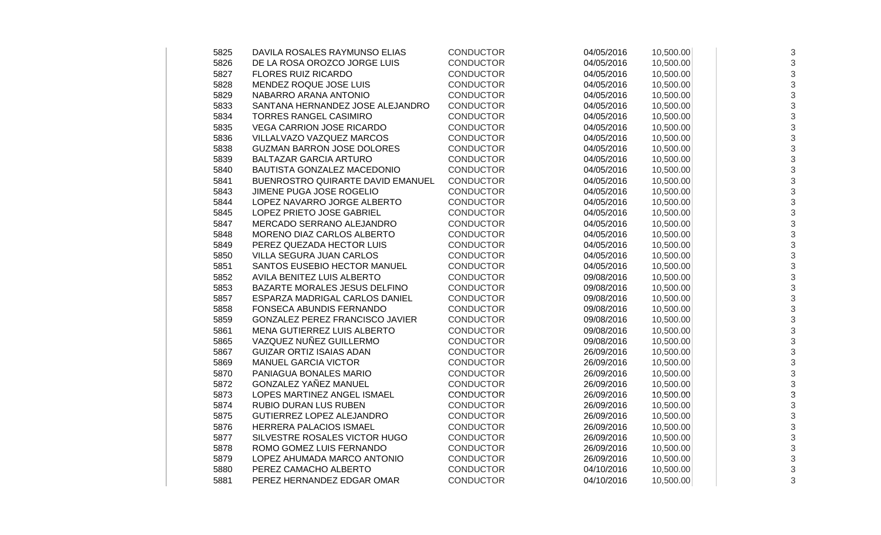| 5825 | DAVILA ROSALES RAYMUNSO ELIAS     | <b>CONDUCTOR</b> | 04/05/2016 | 10,500.00 | 3          |
|------|-----------------------------------|------------------|------------|-----------|------------|
| 5826 | DE LA ROSA OROZCO JORGE LUIS      | <b>CONDUCTOR</b> | 04/05/2016 | 10,500.00 | 3          |
| 5827 | <b>FLORES RUIZ RICARDO</b>        | <b>CONDUCTOR</b> | 04/05/2016 | 10,500.00 | 3          |
| 5828 | MENDEZ ROQUE JOSE LUIS            | <b>CONDUCTOR</b> | 04/05/2016 | 10,500.00 | 3          |
| 5829 | NABARRO ARANA ANTONIO             | <b>CONDUCTOR</b> | 04/05/2016 | 10,500.00 | 3          |
| 5833 | SANTANA HERNANDEZ JOSE ALEJANDRO  | <b>CONDUCTOR</b> | 04/05/2016 | 10,500.00 | 3          |
| 5834 | <b>TORRES RANGEL CASIMIRO</b>     | <b>CONDUCTOR</b> | 04/05/2016 | 10,500.00 | 3          |
| 5835 | <b>VEGA CARRION JOSE RICARDO</b>  | <b>CONDUCTOR</b> | 04/05/2016 | 10,500.00 | 3          |
| 5836 | VILLALVAZO VAZQUEZ MARCOS         | <b>CONDUCTOR</b> | 04/05/2016 | 10,500.00 | 3          |
| 5838 | <b>GUZMAN BARRON JOSE DOLORES</b> | <b>CONDUCTOR</b> | 04/05/2016 | 10,500.00 | 3          |
| 5839 | <b>BALTAZAR GARCIA ARTURO</b>     | <b>CONDUCTOR</b> | 04/05/2016 | 10,500.00 | 3          |
| 5840 | BAUTISTA GONZALEZ MACEDONIO       | <b>CONDUCTOR</b> | 04/05/2016 | 10,500.00 | 3          |
| 5841 | BUENROSTRO QUIRARTE DAVID EMANUEL | <b>CONDUCTOR</b> | 04/05/2016 | 10,500.00 | 3          |
| 5843 | JIMENE PUGA JOSE ROGELIO          | <b>CONDUCTOR</b> | 04/05/2016 | 10,500.00 | 3          |
| 5844 | LOPEZ NAVARRO JORGE ALBERTO       | <b>CONDUCTOR</b> | 04/05/2016 | 10,500.00 | 3          |
| 5845 | LOPEZ PRIETO JOSE GABRIEL         | <b>CONDUCTOR</b> | 04/05/2016 | 10,500.00 | 3          |
| 5847 | MERCADO SERRANO ALEJANDRO         | <b>CONDUCTOR</b> | 04/05/2016 | 10,500.00 | 3          |
| 5848 | MORENO DIAZ CARLOS ALBERTO        | <b>CONDUCTOR</b> | 04/05/2016 | 10,500.00 | 3          |
| 5849 | PEREZ QUEZADA HECTOR LUIS         | <b>CONDUCTOR</b> | 04/05/2016 | 10,500.00 | 3          |
| 5850 | <b>VILLA SEGURA JUAN CARLOS</b>   | CONDUCTOR        | 04/05/2016 | 10,500.00 | 3          |
| 5851 | SANTOS EUSEBIO HECTOR MANUEL      | <b>CONDUCTOR</b> | 04/05/2016 | 10,500.00 | 3          |
| 5852 | AVILA BENITEZ LUIS ALBERTO        | <b>CONDUCTOR</b> | 09/08/2016 | 10,500.00 | 3          |
| 5853 | BAZARTE MORALES JESUS DELFINO     | <b>CONDUCTOR</b> | 09/08/2016 | 10,500.00 | $\sqrt{3}$ |
| 5857 | ESPARZA MADRIGAL CARLOS DANIEL    | <b>CONDUCTOR</b> | 09/08/2016 | 10,500.00 | $\sqrt{3}$ |
| 5858 | FONSECA ABUNDIS FERNANDO          | <b>CONDUCTOR</b> | 09/08/2016 | 10,500.00 | 3          |
| 5859 | GONZALEZ PEREZ FRANCISCO JAVIER   | <b>CONDUCTOR</b> | 09/08/2016 | 10,500.00 | 3          |
| 5861 | MENA GUTIERREZ LUIS ALBERTO       | <b>CONDUCTOR</b> | 09/08/2016 | 10,500.00 | 3          |
| 5865 | VAZQUEZ NUÑEZ GUILLERMO           | <b>CONDUCTOR</b> | 09/08/2016 | 10,500.00 | 3          |
| 5867 | <b>GUIZAR ORTIZ ISAIAS ADAN</b>   | <b>CONDUCTOR</b> | 26/09/2016 | 10,500.00 | 3          |
| 5869 | <b>MANUEL GARCIA VICTOR</b>       | <b>CONDUCTOR</b> | 26/09/2016 | 10,500.00 | 3          |
| 5870 | PANIAGUA BONALES MARIO            | <b>CONDUCTOR</b> | 26/09/2016 | 10,500.00 | 3          |
| 5872 | GONZALEZ YAÑEZ MANUEL             | <b>CONDUCTOR</b> | 26/09/2016 | 10,500.00 | 3          |
| 5873 | LOPES MARTINEZ ANGEL ISMAEL       | <b>CONDUCTOR</b> | 26/09/2016 | 10,500.00 | 3          |
| 5874 | <b>RUBIO DURAN LUS RUBEN</b>      | <b>CONDUCTOR</b> | 26/09/2016 | 10,500.00 | 3          |
| 5875 | GUTIERREZ LOPEZ ALEJANDRO         | <b>CONDUCTOR</b> | 26/09/2016 | 10,500.00 | 3          |
| 5876 | HERRERA PALACIOS ISMAEL           | <b>CONDUCTOR</b> | 26/09/2016 | 10,500.00 | 3          |
| 5877 | SILVESTRE ROSALES VICTOR HUGO     | <b>CONDUCTOR</b> | 26/09/2016 | 10,500.00 | 3          |
| 5878 | ROMO GOMEZ LUIS FERNANDO          | <b>CONDUCTOR</b> | 26/09/2016 | 10,500.00 | 3          |
| 5879 | LOPEZ AHUMADA MARCO ANTONIO       | <b>CONDUCTOR</b> | 26/09/2016 | 10,500.00 | 3          |
| 5880 | PEREZ CAMACHO ALBERTO             | <b>CONDUCTOR</b> | 04/10/2016 | 10,500.00 | 3          |
| 5881 | PEREZ HERNANDEZ EDGAR OMAR        | <b>CONDUCTOR</b> | 04/10/2016 | 10,500.00 | 3          |
|      |                                   |                  |            |           |            |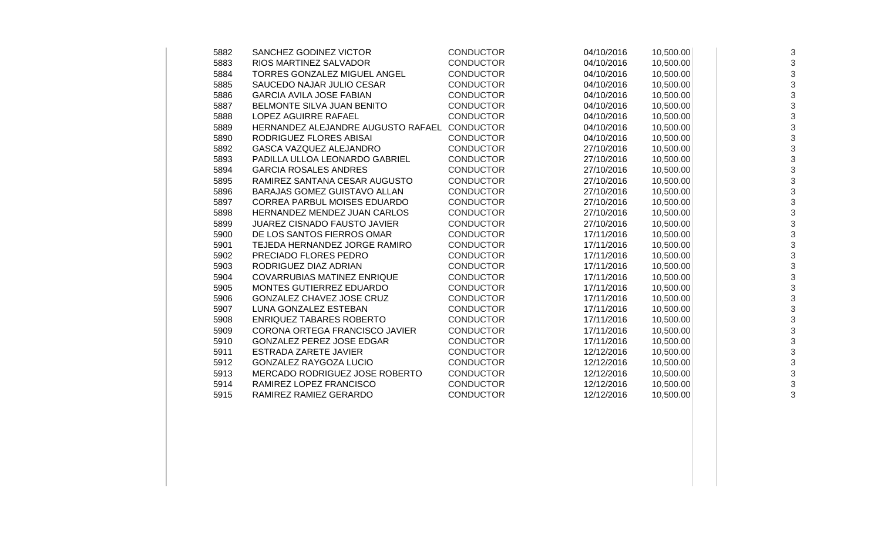| 5882 | SANCHEZ GODINEZ VICTOR              | <b>CONDUCTOR</b> | 04/10/2016 | 10,500.00 | 3 |
|------|-------------------------------------|------------------|------------|-----------|---|
| 5883 | RIOS MARTINEZ SALVADOR              | <b>CONDUCTOR</b> | 04/10/2016 | 10,500.00 | 3 |
| 5884 | <b>TORRES GONZALEZ MIGUEL ANGEL</b> | <b>CONDUCTOR</b> | 04/10/2016 | 10,500.00 | 3 |
| 5885 | SAUCEDO NAJAR JULIO CESAR           | <b>CONDUCTOR</b> | 04/10/2016 | 10,500.00 | 3 |
| 5886 | <b>GARCIA AVILA JOSE FABIAN</b>     | <b>CONDUCTOR</b> | 04/10/2016 | 10,500.00 | 3 |
| 5887 | BELMONTE SILVA JUAN BENITO          | <b>CONDUCTOR</b> | 04/10/2016 | 10,500.00 | 3 |
| 5888 | LOPEZ AGUIRRE RAFAEL                | <b>CONDUCTOR</b> | 04/10/2016 | 10,500.00 | 3 |
| 5889 | HERNANDEZ ALEJANDRE AUGUSTO RAFAEL  | <b>CONDUCTOR</b> | 04/10/2016 | 10,500.00 | 3 |
| 5890 | RODRIGUEZ FLORES ABISAI             | <b>CONDUCTOR</b> | 04/10/2016 | 10,500.00 | 3 |
| 5892 | <b>GASCA VAZQUEZ ALEJANDRO</b>      | <b>CONDUCTOR</b> | 27/10/2016 | 10,500.00 | 3 |
| 5893 | PADILLA ULLOA LEONARDO GABRIEL      | <b>CONDUCTOR</b> | 27/10/2016 | 10,500.00 | 3 |
| 5894 | <b>GARCIA ROSALES ANDRES</b>        | <b>CONDUCTOR</b> | 27/10/2016 | 10,500.00 | 3 |
| 5895 | RAMIREZ SANTANA CESAR AUGUSTO       | <b>CONDUCTOR</b> | 27/10/2016 | 10,500.00 | 3 |
| 5896 | BARAJAS GOMEZ GUISTAVO ALLAN        | <b>CONDUCTOR</b> | 27/10/2016 | 10,500.00 | 3 |
| 5897 | CORREA PARBUL MOISES EDUARDO        | <b>CONDUCTOR</b> | 27/10/2016 | 10,500.00 | 3 |
| 5898 | HERNANDEZ MENDEZ JUAN CARLOS        | <b>CONDUCTOR</b> | 27/10/2016 | 10,500.00 | 3 |
| 5899 | <b>JUAREZ CISNADO FAUSTO JAVIER</b> | <b>CONDUCTOR</b> | 27/10/2016 | 10,500.00 | 3 |
| 5900 | DE LOS SANTOS FIERROS OMAR          | <b>CONDUCTOR</b> | 17/11/2016 | 10,500.00 | 3 |
| 5901 | TEJEDA HERNANDEZ JORGE RAMIRO       | <b>CONDUCTOR</b> | 17/11/2016 | 10,500.00 | 3 |
| 5902 | PRECIADO FLORES PEDRO               | <b>CONDUCTOR</b> | 17/11/2016 | 10,500.00 | 3 |
| 5903 | RODRIGUEZ DIAZ ADRIAN               | <b>CONDUCTOR</b> | 17/11/2016 | 10,500.00 | 3 |
| 5904 | <b>COVARRUBIAS MATINEZ ENRIQUE</b>  | <b>CONDUCTOR</b> | 17/11/2016 | 10,500.00 | 3 |
| 5905 | MONTES GUTIERREZ EDUARDO            | <b>CONDUCTOR</b> | 17/11/2016 | 10,500.00 | 3 |
| 5906 | GONZALEZ CHAVEZ JOSE CRUZ           | <b>CONDUCTOR</b> | 17/11/2016 | 10,500.00 | 3 |
| 5907 | LUNA GONZALEZ ESTEBAN               | <b>CONDUCTOR</b> | 17/11/2016 | 10,500.00 | 3 |
| 5908 | <b>ENRIQUEZ TABARES ROBERTO</b>     | <b>CONDUCTOR</b> | 17/11/2016 | 10,500.00 | 3 |
| 5909 | CORONA ORTEGA FRANCISCO JAVIER      | <b>CONDUCTOR</b> | 17/11/2016 | 10,500.00 | 3 |
| 5910 | <b>GONZALEZ PEREZ JOSE EDGAR</b>    | <b>CONDUCTOR</b> | 17/11/2016 | 10,500.00 | 3 |
| 5911 | <b>ESTRADA ZARETE JAVIER</b>        | <b>CONDUCTOR</b> | 12/12/2016 | 10,500.00 | 3 |
| 5912 | <b>GONZALEZ RAYGOZA LUCIO</b>       | <b>CONDUCTOR</b> | 12/12/2016 | 10,500.00 | 3 |
| 5913 | MERCADO RODRIGUEZ JOSE ROBERTO      | <b>CONDUCTOR</b> | 12/12/2016 | 10,500.00 | 3 |
| 5914 | RAMIREZ LOPEZ FRANCISCO             | <b>CONDUCTOR</b> | 12/12/2016 | 10,500.00 | 3 |
| 5915 | RAMIREZ RAMIEZ GERARDO              | <b>CONDUCTOR</b> | 12/12/2016 | 10,500.00 | 3 |
|      |                                     |                  |            |           |   |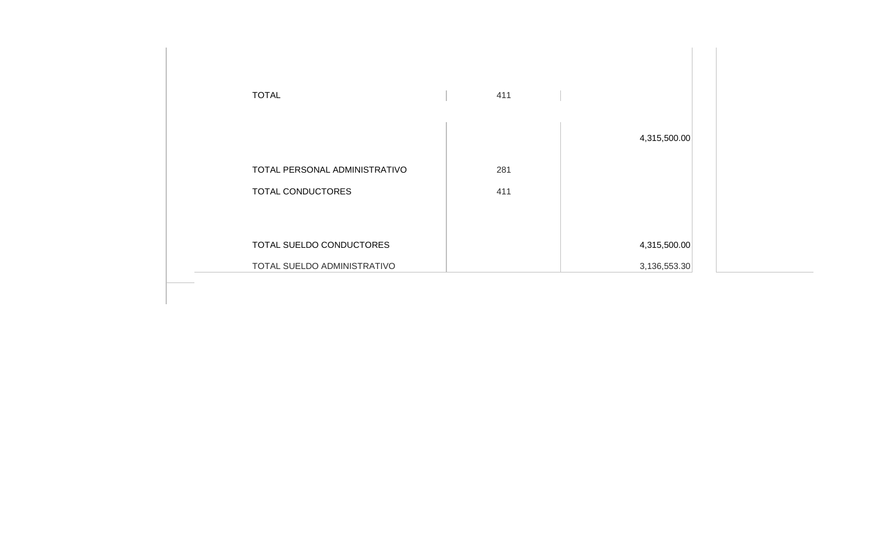| <b>TOTAL</b>                  | 411 |              |
|-------------------------------|-----|--------------|
|                               |     |              |
|                               |     | 4,315,500.00 |
| TOTAL PERSONAL ADMINISTRATIVO | 281 |              |
| TOTAL CONDUCTORES             | 411 |              |
|                               |     |              |
| TOTAL SUELDO CONDUCTORES      |     | 4,315,500.00 |
| TOTAL SUELDO ADMINISTRATIVO   |     | 3,136,553.30 |